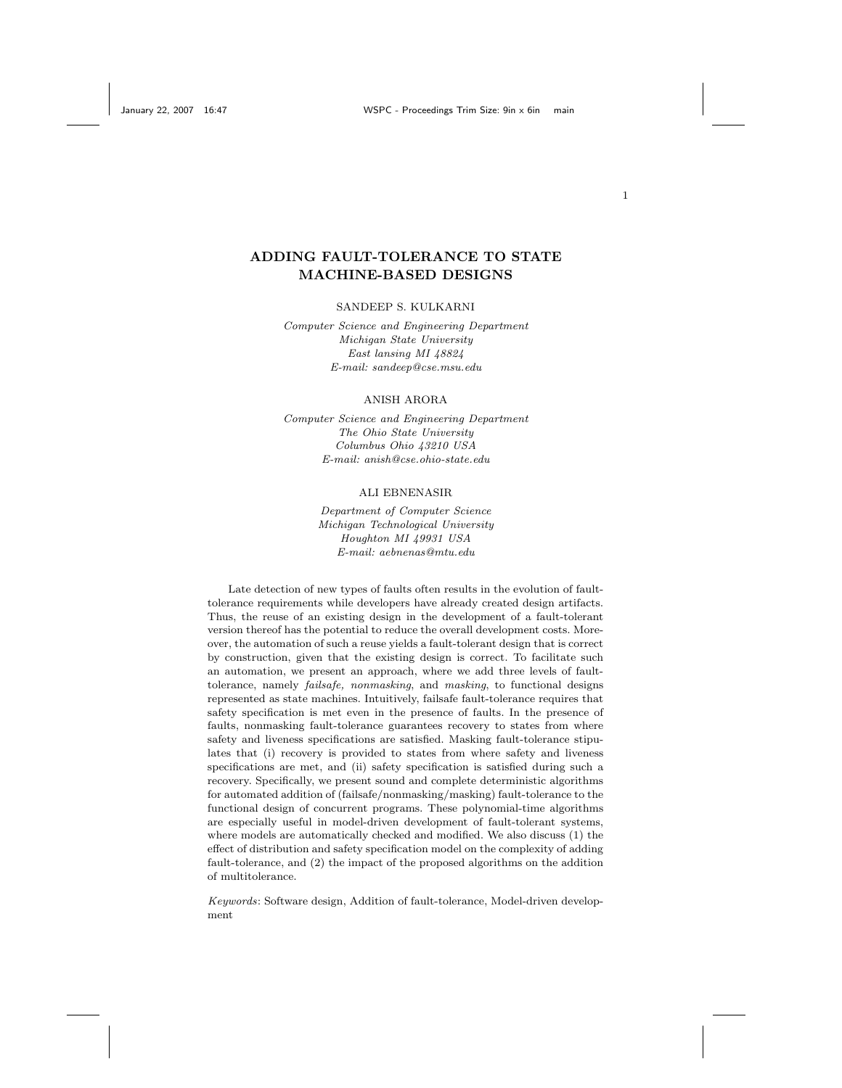# **ADDING FAULT-TOLERANCE TO STATE MACHINE-BASED DESIGNS**

## SANDEEP S. KULKARNI

*Computer Science and Engineering Department Michigan State University East lansing MI 48824 E-mail: sandeep@cse.msu.edu*

## ANISH ARORA

*Computer Science and Engineering Department The Ohio State University Columbus Ohio 43210 USA E-mail: anish@cse.ohio-state.edu*

#### ALI EBNENASIR

*Department of Computer Science Michigan Technological University Houghton MI 49931 USA E-mail: aebnenas@mtu.edu*

Late detection of new types of faults often results in the evolution of faulttolerance requirements while developers have already created design artifacts. Thus, the reuse of an existing design in the development of a fault-tolerant version thereof has the potential to reduce the overall development costs. Moreover, the automation of such a reuse yields a fault-tolerant design that is correct by construction, given that the existing design is correct. To facilitate such an automation, we present an approach, where we add three levels of faulttolerance, namely *failsafe, nonmasking*, and *masking*, to functional designs represented as state machines. Intuitively, failsafe fault-tolerance requires that safety specification is met even in the presence of faults. In the presence of faults, nonmasking fault-tolerance guarantees recovery to states from where safety and liveness specifications are satisfied. Masking fault-tolerance stipulates that (i) recovery is provided to states from where safety and liveness specifications are met, and (ii) safety specification is satisfied during such a recovery. Specifically, we present sound and complete deterministic algorithms for automated addition of (failsafe/nonmasking/masking) fault-tolerance to the functional design of concurrent programs. These polynomial-time algorithms are especially useful in model-driven development of fault-tolerant systems, where models are automatically checked and modified. We also discuss (1) the effect of distribution and safety specification model on the complexity of adding fault-tolerance, and (2) the impact of the proposed algorithms on the addition of multitolerance.

*Keywords*: Software design, Addition of fault-tolerance, Model-driven development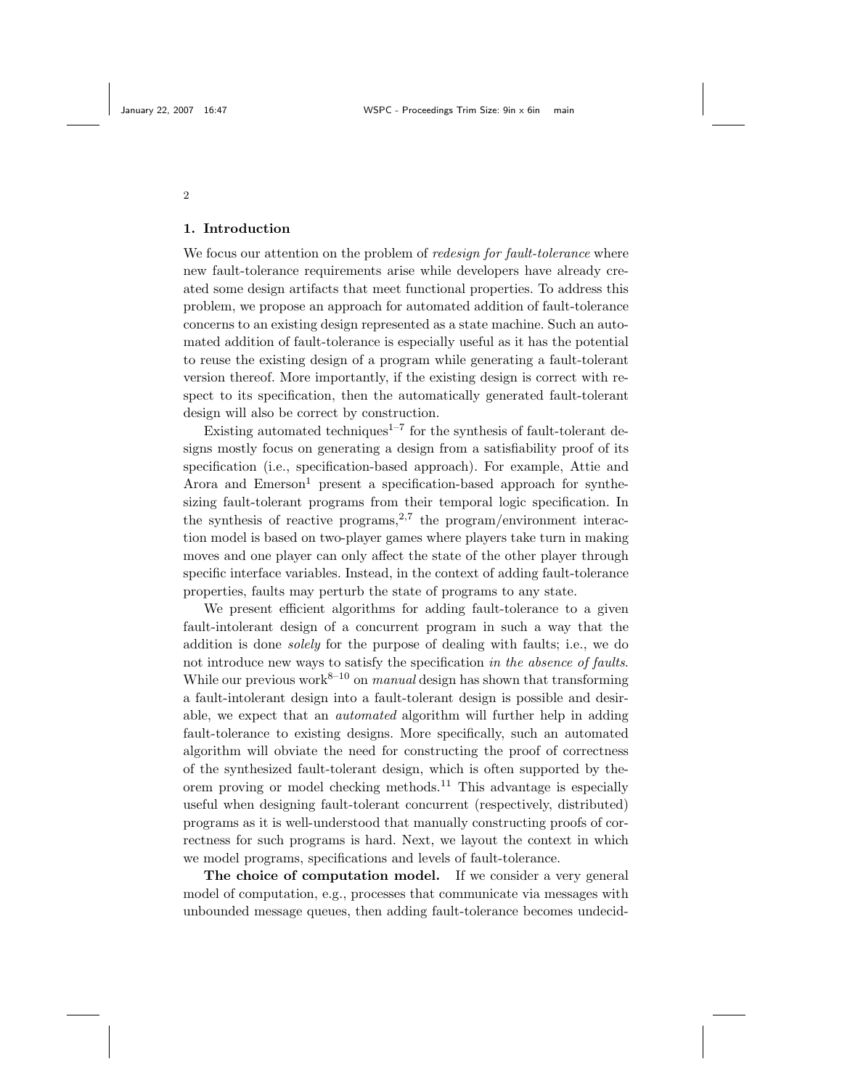# **1. Introduction**

We focus our attention on the problem of *redesign for fault-tolerance* where new fault-tolerance requirements arise while developers have already created some design artifacts that meet functional properties. To address this problem, we propose an approach for automated addition of fault-tolerance concerns to an existing design represented as a state machine. Such an automated addition of fault-tolerance is especially useful as it has the potential to reuse the existing design of a program while generating a fault-tolerant version thereof. More importantly, if the existing design is correct with respect to its specification, then the automatically generated fault-tolerant design will also be correct by construction.

Existing automated techniques<sup> $1-7$ </sup> for the synthesis of fault-tolerant designs mostly focus on generating a design from a satisfiability proof of its specification (i.e., specification-based approach). For example, Attie and Arora and  $Emerson<sup>1</sup>$  present a specification-based approach for synthesizing fault-tolerant programs from their temporal logic specification. In the synthesis of reactive programs,  $2.7$  the program/environment interaction model is based on two-player games where players take turn in making moves and one player can only affect the state of the other player through specific interface variables. Instead, in the context of adding fault-tolerance properties, faults may perturb the state of programs to any state.

We present efficient algorithms for adding fault-tolerance to a given fault-intolerant design of a concurrent program in such a way that the addition is done *solely* for the purpose of dealing with faults; i.e., we do not introduce new ways to satisfy the specification *in the absence of faults*. While our previous work<sup>8–10</sup> on *manual* design has shown that transforming a fault-intolerant design into a fault-tolerant design is possible and desirable, we expect that an *automated* algorithm will further help in adding fault-tolerance to existing designs. More specifically, such an automated algorithm will obviate the need for constructing the proof of correctness of the synthesized fault-tolerant design, which is often supported by theorem proving or model checking methods.<sup>11</sup> This advantage is especially useful when designing fault-tolerant concurrent (respectively, distributed) programs as it is well-understood that manually constructing proofs of correctness for such programs is hard. Next, we layout the context in which we model programs, specifications and levels of fault-tolerance.

**The choice of computation model.** If we consider a very general model of computation, e.g., processes that communicate via messages with unbounded message queues, then adding fault-tolerance becomes undecid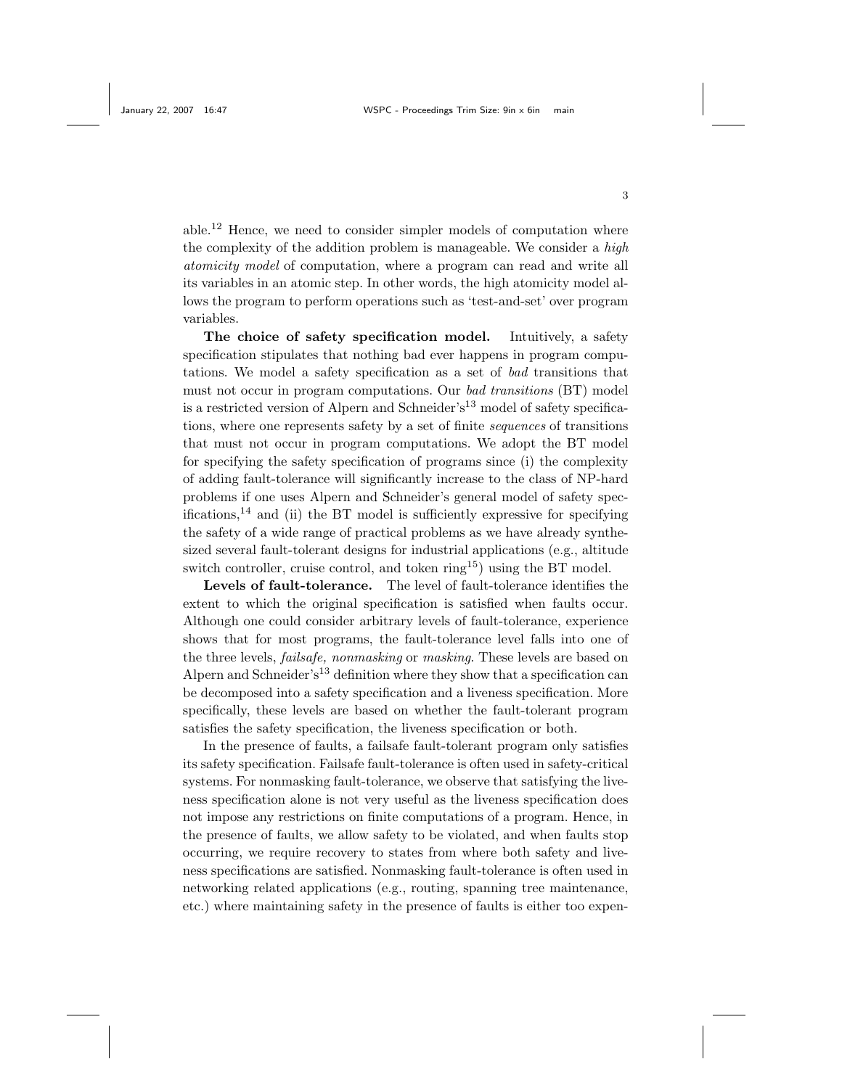able.<sup>12</sup> Hence, we need to consider simpler models of computation where the complexity of the addition problem is manageable. We consider a *high atomicity model* of computation, where a program can read and write all its variables in an atomic step. In other words, the high atomicity model allows the program to perform operations such as 'test-and-set' over program variables.

**The choice of safety specification model.** Intuitively, a safety specification stipulates that nothing bad ever happens in program computations. We model a safety specification as a set of *bad* transitions that must not occur in program computations. Our *bad transitions* (BT) model is a restricted version of Alpern and Schneider's<sup>13</sup> model of safety specifications, where one represents safety by a set of finite *sequences* of transitions that must not occur in program computations. We adopt the BT model for specifying the safety specification of programs since (i) the complexity of adding fault-tolerance will significantly increase to the class of NP-hard problems if one uses Alpern and Schneider's general model of safety specifications,  $^{14}$  and (ii) the BT model is sufficiently expressive for specifying the safety of a wide range of practical problems as we have already synthesized several fault-tolerant designs for industrial applications (e.g., altitude switch controller, cruise control, and token ring<sup>15</sup>) using the BT model.

**Levels of fault-tolerance.** The level of fault-tolerance identifies the extent to which the original specification is satisfied when faults occur. Although one could consider arbitrary levels of fault-tolerance, experience shows that for most programs, the fault-tolerance level falls into one of the three levels, *failsafe, nonmasking* or *masking*. These levels are based on Alpern and Schneider's<sup>13</sup> definition where they show that a specification can be decomposed into a safety specification and a liveness specification. More specifically, these levels are based on whether the fault-tolerant program satisfies the safety specification, the liveness specification or both.

In the presence of faults, a failsafe fault-tolerant program only satisfies its safety specification. Failsafe fault-tolerance is often used in safety-critical systems. For nonmasking fault-tolerance, we observe that satisfying the liveness specification alone is not very useful as the liveness specification does not impose any restrictions on finite computations of a program. Hence, in the presence of faults, we allow safety to be violated, and when faults stop occurring, we require recovery to states from where both safety and liveness specifications are satisfied. Nonmasking fault-tolerance is often used in networking related applications (e.g., routing, spanning tree maintenance, etc.) where maintaining safety in the presence of faults is either too expen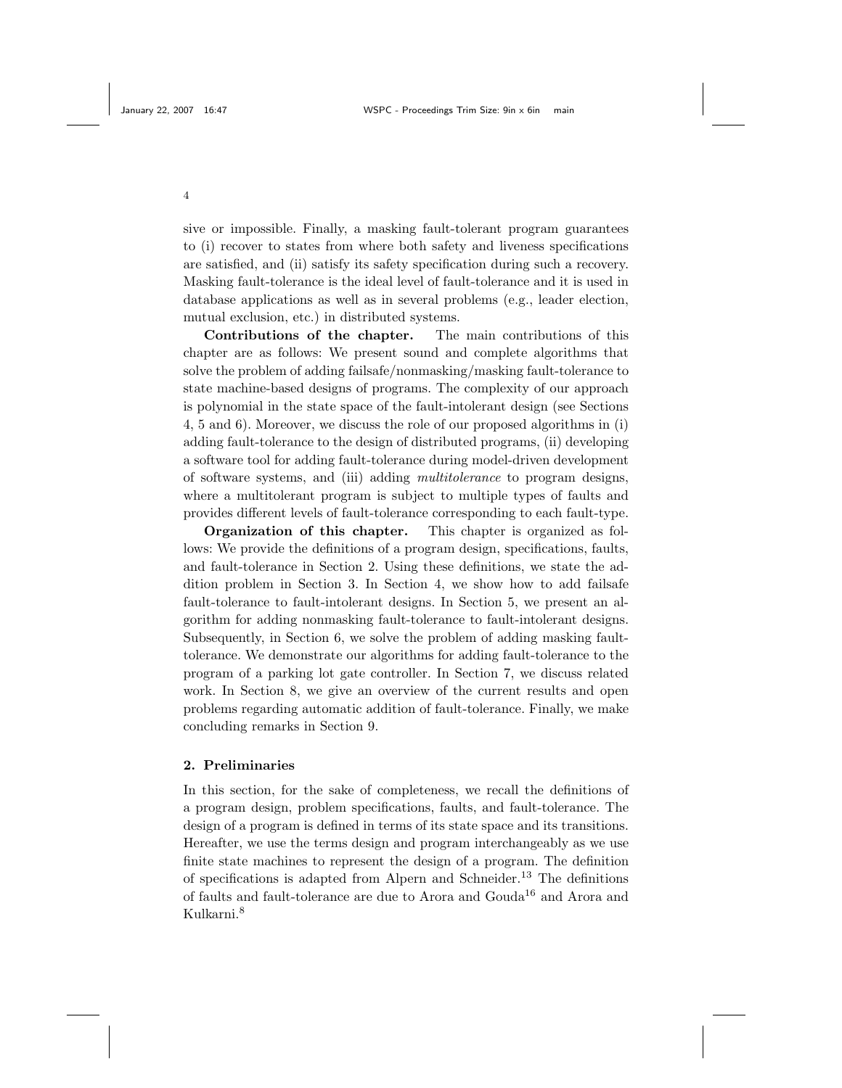sive or impossible. Finally, a masking fault-tolerant program guarantees to (i) recover to states from where both safety and liveness specifications are satisfied, and (ii) satisfy its safety specification during such a recovery. Masking fault-tolerance is the ideal level of fault-tolerance and it is used in database applications as well as in several problems (e.g., leader election, mutual exclusion, etc.) in distributed systems.

**Contributions of the chapter.** The main contributions of this chapter are as follows: We present sound and complete algorithms that solve the problem of adding failsafe/nonmasking/masking fault-tolerance to state machine-based designs of programs. The complexity of our approach is polynomial in the state space of the fault-intolerant design (see Sections 4, 5 and 6). Moreover, we discuss the role of our proposed algorithms in (i) adding fault-tolerance to the design of distributed programs, (ii) developing a software tool for adding fault-tolerance during model-driven development of software systems, and (iii) adding *multitolerance* to program designs, where a multitolerant program is subject to multiple types of faults and provides different levels of fault-tolerance corresponding to each fault-type.

**Organization of this chapter.** This chapter is organized as follows: We provide the definitions of a program design, specifications, faults, and fault-tolerance in Section 2. Using these definitions, we state the addition problem in Section 3. In Section 4, we show how to add failsafe fault-tolerance to fault-intolerant designs. In Section 5, we present an algorithm for adding nonmasking fault-tolerance to fault-intolerant designs. Subsequently, in Section 6, we solve the problem of adding masking faulttolerance. We demonstrate our algorithms for adding fault-tolerance to the program of a parking lot gate controller. In Section 7, we discuss related work. In Section 8, we give an overview of the current results and open problems regarding automatic addition of fault-tolerance. Finally, we make concluding remarks in Section 9.

## **2. Preliminaries**

In this section, for the sake of completeness, we recall the definitions of a program design, problem specifications, faults, and fault-tolerance. The design of a program is defined in terms of its state space and its transitions. Hereafter, we use the terms design and program interchangeably as we use finite state machines to represent the design of a program. The definition of specifications is adapted from Alpern and Schneider.<sup>13</sup> The definitions of faults and fault-tolerance are due to Arora and Gouda<sup>16</sup> and Arora and Kulkarni.<sup>8</sup>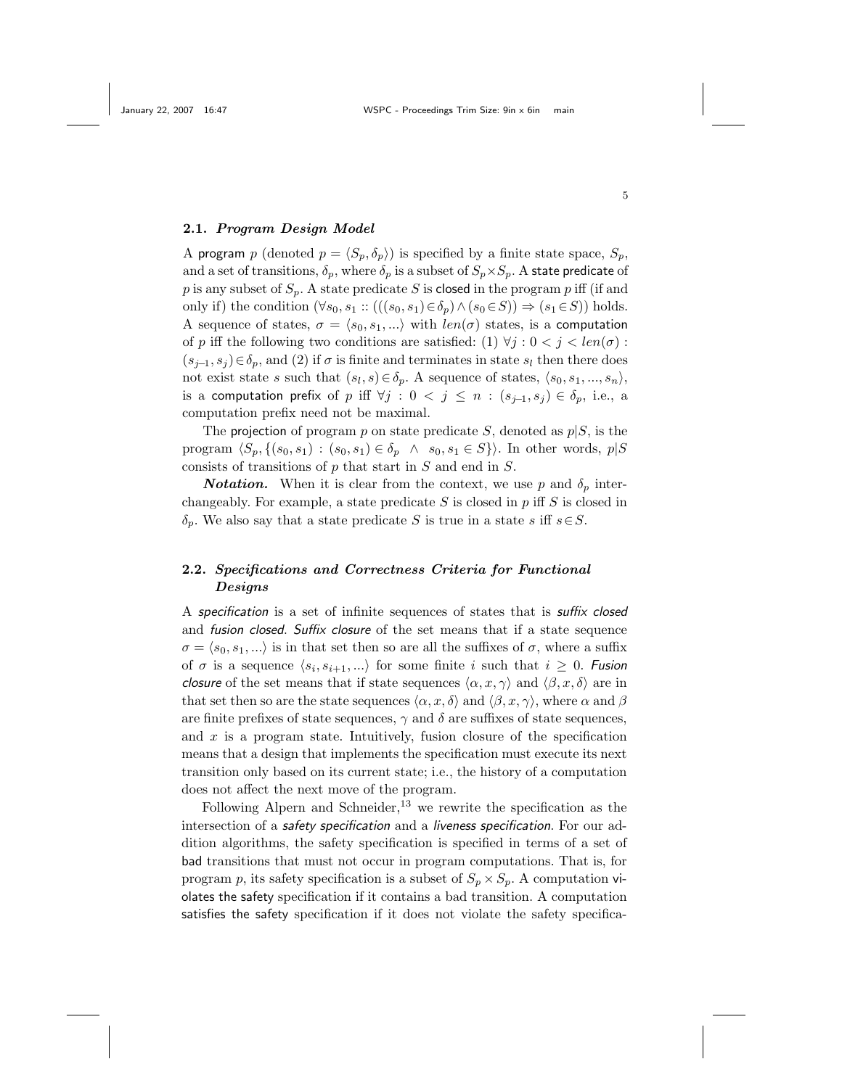## **2.1.** *Program Design Model*

A program *p* (denoted  $p = \langle S_p, \delta_p \rangle$ ) is specified by a finite state space,  $S_p$ , and a set of transitions,  $\delta_p$ , where  $\delta_p$  is a subset of  $S_p \times S_p$ . A state predicate of *p* is any subset of *Sp*. A state predicate *S* is closed in the program *p* iff (if and only if) the condition  $(\forall s_0, s_1$  ::  $(((s_0, s_1) \in \delta_p) \land (s_0 \in S)) \Rightarrow (s_1 \in S)$  holds. A sequence of states,  $\sigma = \langle s_0, s_1, \ldots \rangle$  with  $len(\sigma)$  states, is a computation of *p* iff the following two conditions are satisfied: (1)  $\forall j : 0 \lt j \lt len(\sigma)$ :  $(s_{j-1}, s_j) \in \delta_p$ , and (2) if  $\sigma$  is finite and terminates in state  $s_l$  then there does not exist state *s* such that  $(s_l, s) \in \delta_p$ . A sequence of states,  $\langle s_0, s_1, ..., s_n \rangle$ , is a computation prefix of *p* iff  $\forall j : 0 < j \leq n : (s_{j-1}, s_j) \in \delta_p$ , i.e., a computation prefix need not be maximal.

The projection of program *p* on state predicate *S*, denoted as *p|S*, is the program  $\langle S_p, \{(s_0, s_1) : (s_0, s_1) \in \delta_p \land s_0, s_1 \in S\} \rangle$ . In other words,  $p|S$ consists of transitions of *p* that start in *S* and end in *S*.

*Notation.* When it is clear from the context, we use p and  $\delta_p$  interchangeably. For example, a state predicate *S* is closed in *p* iff *S* is closed in *δ*<sup>*p*</sup>. We also say that a state predicate *S* is true in a state *s* iff *s* ∈ *S*.

# **2.2.** *Specifications and Correctness Criteria for Functional Designs*

A *specification* is a set of infinite sequences of states that is *suffix closed* and *fusion closed*. *Suffix closure* of the set means that if a state sequence  $\sigma = \langle s_0, s_1, \ldots \rangle$  is in that set then so are all the suffixes of  $\sigma$ , where a suffix of  $\sigma$  is a sequence  $\langle s_i, s_{i+1}, \ldots \rangle$  for some finite *i* such that  $i \geq 0$ . Fusion *closure* of the set means that if state sequences  $\langle \alpha, x, \gamma \rangle$  and  $\langle \beta, x, \delta \rangle$  are in that set then so are the state sequences  $\langle \alpha, x, \delta \rangle$  and  $\langle \beta, x, \gamma \rangle$ , where  $\alpha$  and  $\beta$ are finite prefixes of state sequences,  $\gamma$  and  $\delta$  are suffixes of state sequences, and *x* is a program state. Intuitively, fusion closure of the specification means that a design that implements the specification must execute its next transition only based on its current state; i.e., the history of a computation does not affect the next move of the program.

Following Alpern and Schneider, $^{13}$  we rewrite the specification as the intersection of a *safety specification* and a *liveness specification*. For our addition algorithms, the safety specification is specified in terms of a set of bad transitions that must not occur in program computations. That is, for program *p*, its safety specification is a subset of  $S_p \times S_p$ . A computation violates the safety specification if it contains a bad transition. A computation satisfies the safety specification if it does not violate the safety specifica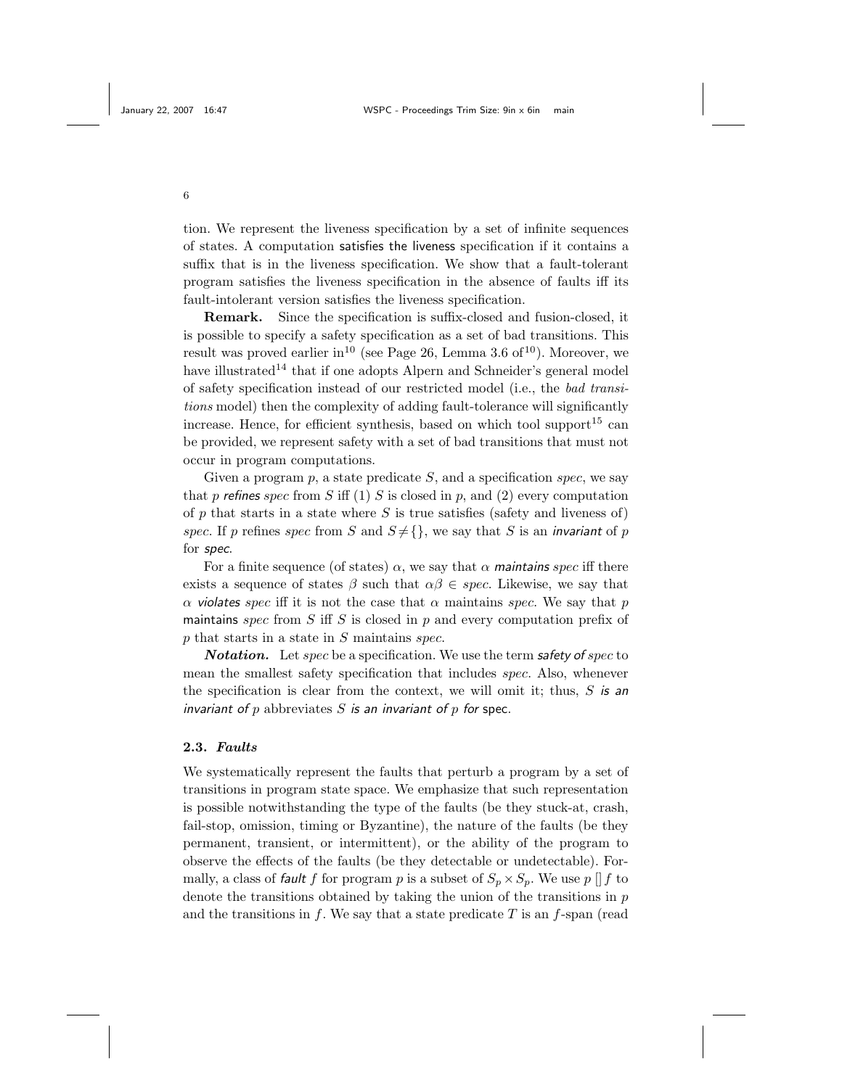tion. We represent the liveness specification by a set of infinite sequences of states. A computation satisfies the liveness specification if it contains a suffix that is in the liveness specification. We show that a fault-tolerant program satisfies the liveness specification in the absence of faults iff its fault-intolerant version satisfies the liveness specification.

**Remark.** Since the specification is suffix-closed and fusion-closed, it is possible to specify a safety specification as a set of bad transitions. This result was proved earlier in<sup>10</sup> (see Page 26, Lemma 3.6 of<sup>10</sup>). Moreover, we have illustrated<sup>14</sup> that if one adopts Alpern and Schneider's general model of safety specification instead of our restricted model (i.e., the *bad transitions* model) then the complexity of adding fault-tolerance will significantly increase. Hence, for efficient synthesis, based on which tool support<sup>15</sup> can be provided, we represent safety with a set of bad transitions that must not occur in program computations.

Given a program *p*, a state predicate *S*, and a specification *spec*, we say that *p* refines spec from *S* iff (1) *S* is closed in *p*, and (2) every computation of *p* that starts in a state where *S* is true satisfies (safety and liveness of) *spec.* If *p* refines *spec* from *S* and  $S \neq \{\}$ , we say that *S* is an *invariant* of *p* for *spec*.

For a finite sequence (of states)  $\alpha$ , we say that  $\alpha$  *maintains spec* iff there exists a sequence of states  $\beta$  such that  $\alpha\beta \in spec$ . Likewise, we say that *α violates spec* iff it is not the case that *α* maintains *spec*. We say that *p* maintains *spec* from *S* iff *S* is closed in *p* and every computation prefix of *p* that starts in a state in *S* maintains *spec*.

*Notation.* Let *spec* be a specification. We use the term *safety of spec* to mean the smallest safety specification that includes *spec*. Also, whenever the specification is clear from the context, we will omit it; thus, *S is an invariant of p* abbreviates *S is an invariant of p for* spec.

## **2.3.** *Faults*

We systematically represent the faults that perturb a program by a set of transitions in program state space. We emphasize that such representation is possible notwithstanding the type of the faults (be they stuck-at, crash, fail-stop, omission, timing or Byzantine), the nature of the faults (be they permanent, transient, or intermittent), or the ability of the program to observe the effects of the faults (be they detectable or undetectable). Formally, a class of *fault f* for program *p* is a subset of  $S_p \times S_p$ . We use  $p \parallel f$  to denote the transitions obtained by taking the union of the transitions in *p* and the transitions in  $f$ . We say that a state predicate  $T$  is an  $f$ -span (read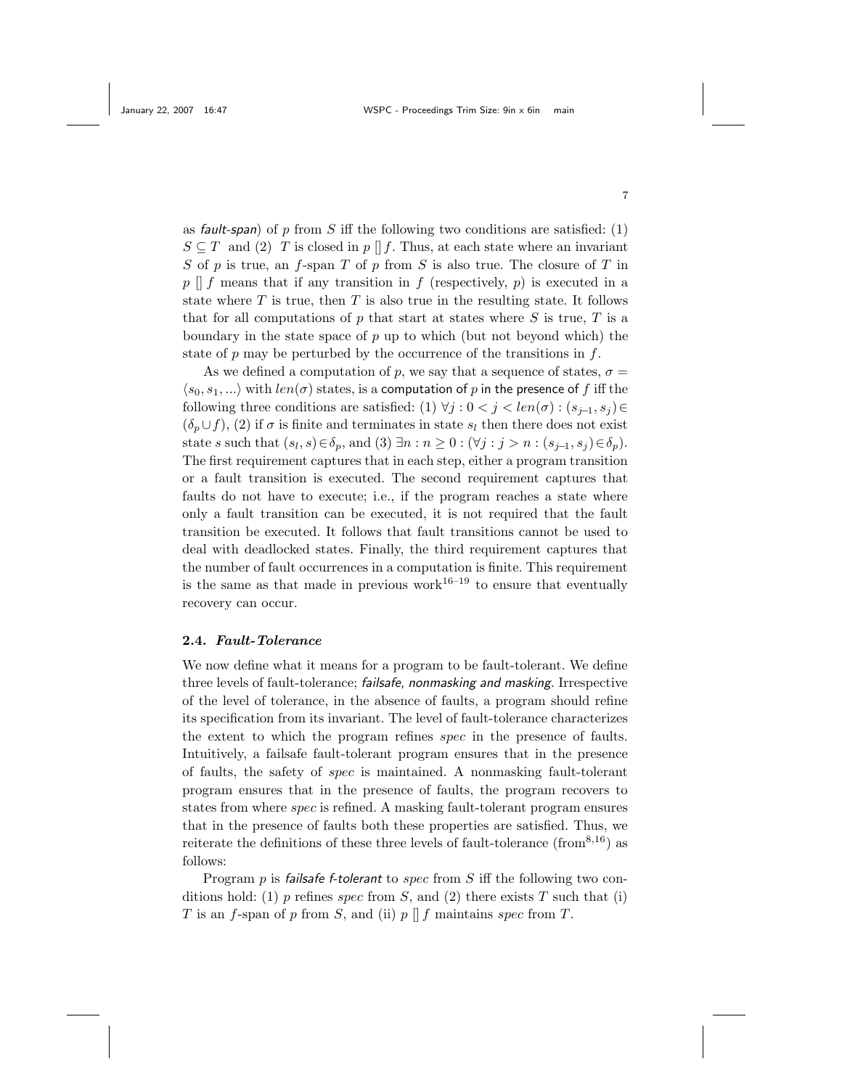as *fault-span*) of *p* from *S* iff the following two conditions are satisfied: (1)  $S \subseteq T$  and (2) *T* is closed in *p* [*f*. Thus, at each state where an invariant *S* of *p* is true, an *f*-span *T* of *p* from *S* is also true. The closure of *T* in *p* [] *f* means that if any transition in *f* (respectively, *p*) is executed in a state where *T* is true, then *T* is also true in the resulting state. It follows that for all computations of *p* that start at states where *S* is true, *T* is a boundary in the state space of  $p$  up to which (but not beyond which) the state of *p* may be perturbed by the occurrence of the transitions in *f*.

As we defined a computation of *p*, we say that a sequence of states,  $\sigma$  =  $\langle s_0, s_1, \ldots \rangle$  with  $len(\sigma)$  states, is a computation of *p* in the presence of *f* iff the following three conditions are satisfied: (1)  $\forall j : 0 < j < len(\sigma) : (s_{j-1}, s_j) \in$  $(\delta_p \cup f)$ , (2) if  $\sigma$  is finite and terminates in state  $s_l$  then there does not exist state s such that  $(s_l, s) \in \delta_p$ , and  $(3) \exists n : n \geq 0 : (\forall j : j > n : (s_{j-1}, s_j) \in \delta_p)$ . The first requirement captures that in each step, either a program transition or a fault transition is executed. The second requirement captures that faults do not have to execute; i.e., if the program reaches a state where only a fault transition can be executed, it is not required that the fault transition be executed. It follows that fault transitions cannot be used to deal with deadlocked states. Finally, the third requirement captures that the number of fault occurrences in a computation is finite. This requirement is the same as that made in previous work $16-19$  to ensure that eventually recovery can occur.

#### **2.4.** *Fault-Tolerance*

We now define what it means for a program to be fault-tolerant. We define three levels of fault-tolerance; *failsafe, nonmasking and masking*. Irrespective of the level of tolerance, in the absence of faults, a program should refine its specification from its invariant. The level of fault-tolerance characterizes the extent to which the program refines *spec* in the presence of faults. Intuitively, a failsafe fault-tolerant program ensures that in the presence of faults, the safety of *spec* is maintained. A nonmasking fault-tolerant program ensures that in the presence of faults, the program recovers to states from where *spec* is refined. A masking fault-tolerant program ensures that in the presence of faults both these properties are satisfied. Thus, we reiterate the definitions of these three levels of fault-tolerance (from  $8,16$ ) as follows:

Program *p* is *failsafe f-tolerant* to *spec* from *S* iff the following two conditions hold: (1) *p* refines *spec* from *S*, and (2) there exists *T* such that (i) *T* is an *f*-span of *p* from *S*, and (ii) *p* [] *f* maintains *spec* from *T*.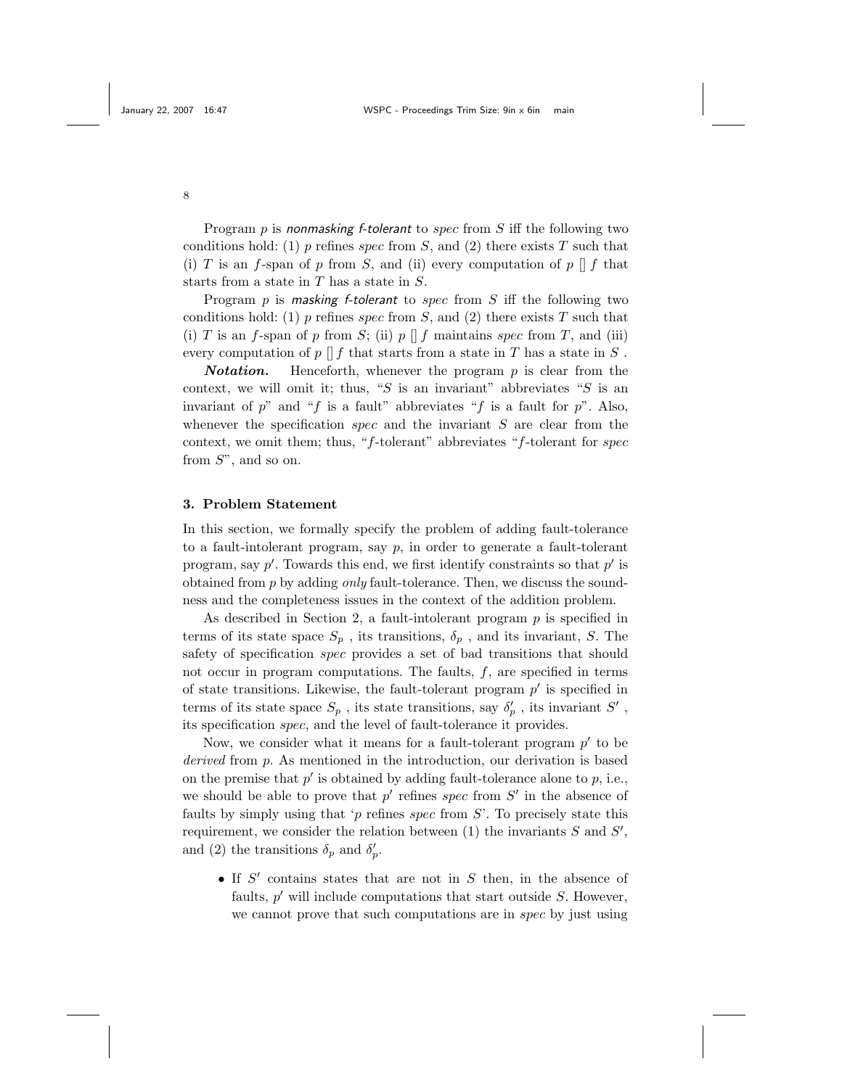Program *p* is *nonmasking f-tolerant* to *spec* from *S* iff the following two conditions hold: (1) *p* refines *spec* from *S*, and (2) there exists *T* such that (i) *T* is an *f*-span of *p* from *S*, and (ii) every computation of  $p \parallel f$  that starts from a state in *T* has a state in *S*.

Program *p* is *masking f-tolerant* to *spec* from *S* iff the following two conditions hold: (1)  $p$  refines *spec* from  $S$ , and (2) there exists  $T$  such that (i) *T* is an *f*-span of *p* from *S*; (ii)  $p \parallel f$  maintains *spec* from *T*, and (iii) every computation of  $p \parallel f$  that starts from a state in  $T$  has a state in  $S$ .

*Notation.* Henceforth, whenever the program *p* is clear from the context, we will omit it; thus, "*S* is an invariant" abbreviates "*S* is an invariant of  $p$ " and " $f$  is a fault" abbreviates " $f$  is a fault for  $p$ ". Also, whenever the specification *spec* and the invariant *S* are clear from the context, we omit them; thus, "*f*-tolerant" abbreviates "*f*-tolerant for *spec* from *S*", and so on.

## **3. Problem Statement**

In this section, we formally specify the problem of adding fault-tolerance to a fault-intolerant program, say *p*, in order to generate a fault-tolerant program, say  $p'$ . Towards this end, we first identify constraints so that  $p'$  is obtained from *p* by adding *only* fault-tolerance. Then, we discuss the soundness and the completeness issues in the context of the addition problem.

As described in Section 2, a fault-intolerant program *p* is specified in terms of its state space  $S_p$ , its transitions,  $\delta_p$ , and its invariant, *S*. The safety of specification *spec* provides a set of bad transitions that should not occur in program computations. The faults, *f*, are specified in terms of state transitions. Likewise, the fault-tolerant program  $p'$  is specified in terms of its state space  $S_p$  , its state transitions, say  $\delta'_p$ , its invariant  $S'$ , its specification *spec*, and the level of fault-tolerance it provides.

Now, we consider what it means for a fault-tolerant program  $p'$  to be *derived* from *p*. As mentioned in the introduction, our derivation is based on the premise that  $p'$  is obtained by adding fault-tolerance alone to  $p$ , i.e., we should be able to prove that  $p'$  refines *spec* from  $S'$  in the absence of faults by simply using that '*p* refines *spec* from *S*'. To precisely state this requirement, we consider the relation between  $(1)$  the invariants  $S$  and  $S'$ , and (2) the transitions  $\delta_p$  and  $\delta'_p$ .

• If *S*<sup> $\prime$ </sup> contains states that are not in *S* then, in the absence of faults,  $p'$  will include computations that start outside  $S$ . However, we cannot prove that such computations are in *spec* by just using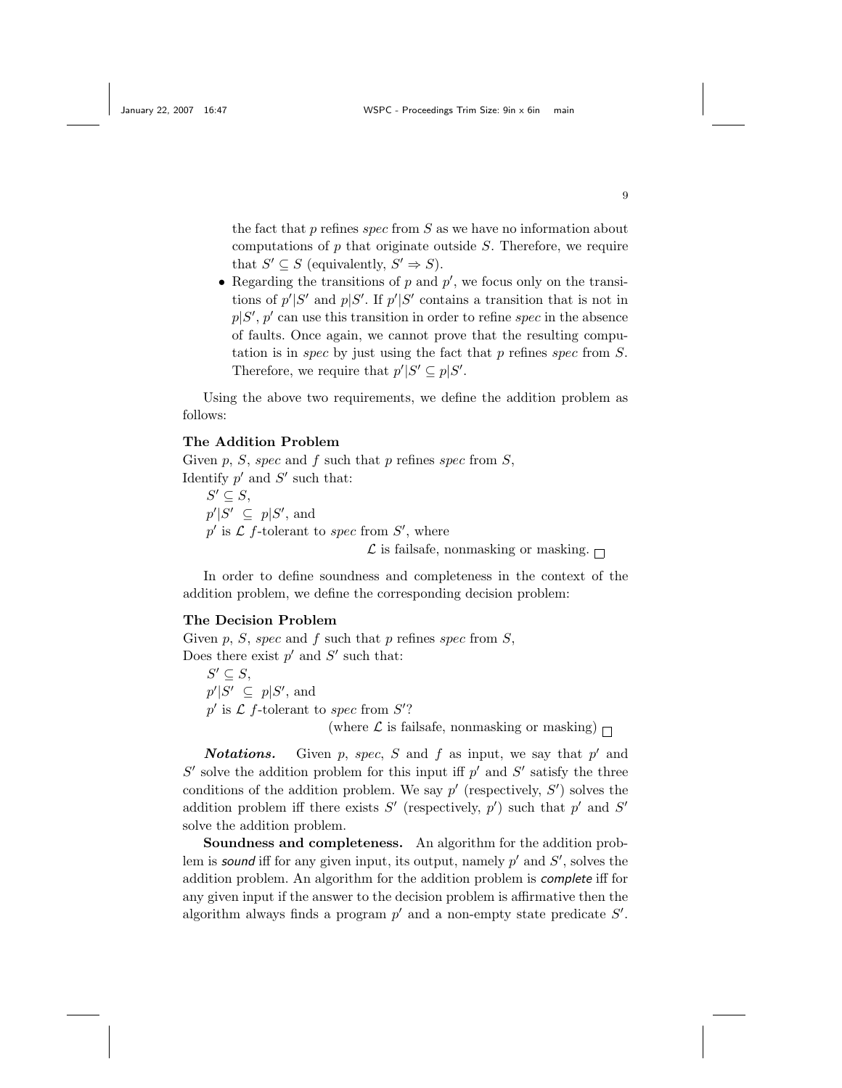the fact that *p* refines *spec* from *S* as we have no information about computations of *p* that originate outside *S*. Therefore, we require that  $S' \subseteq S$  (equivalently,  $S' \Rightarrow S$ ).

• Regarding the transitions of  $p$  and  $p'$ , we focus only on the transitions of  $p'$  *S*<sup> $\prime$ </sup> and  $p$  *|S*<sup> $\prime$ </sup>. If  $p'$  *|S*<sup> $\prime$ </sup> contains a transition that is not in  $p|S'$ ,  $p'$  can use this transition in order to refine *spec* in the absence of faults. Once again, we cannot prove that the resulting computation is in *spec* by just using the fact that *p* refines *spec* from *S*. Therefore, we require that  $p'|S' \subseteq p|S'$ .

Using the above two requirements, we define the addition problem as follows:

# **The Addition Problem**

Given *p*, *S*, *spec* and *f* such that *p* refines *spec* from *S*, Identify  $p'$  and  $S'$  such that:

 $S' \subseteq S$ ,  $p'|S' \subseteq p|S'$ , and  $p'$  is  $\mathcal{L}$  *f*-tolerant to *spec* from *S*<sup> $\prime$ </sup>, where  $\mathcal L$  is failsafe, nonmasking or masking.  $\Box$ 

In order to define soundness and completeness in the context of the addition problem, we define the corresponding decision problem:

# **The Decision Problem**

Given *p*, *S*, *spec* and *f* such that *p* refines *spec* from *S*, Does there exist  $p'$  and  $S'$  such that:

 $S' \subseteq S$ ,  $p'|S' \subseteq p|S'$ , and  $p'$  is  $\mathcal{L}$  *f*-tolerant to *spec* from *S*<sup> $\prime$ </sup>? (where  $\mathcal L$  is failsafe, nonmasking or masking)  $\Box$ 

*Notations.* Given *p*, *spec*, *S* and *f* as input, we say that  $p'$  and *S*<sup> $\prime$ </sup> solve the addition problem for this input iff *p*<sup> $\prime$ </sup> and *S*<sup> $\prime$ </sup> satisfy the three conditions of the addition problem. We say  $p'$  (respectively,  $S'$ ) solves the addition problem iff there exists  $S'$  (respectively,  $p'$ ) such that  $p'$  and  $S'$ solve the addition problem.

**Soundness and completeness.** An algorithm for the addition problem is **sound** iff for any given input, its output, namely  $p'$  and  $S'$ , solves the addition problem. An algorithm for the addition problem is *complete* iff for any given input if the answer to the decision problem is affirmative then the algorithm always finds a program  $p'$  and a non-empty state predicate  $S'$ .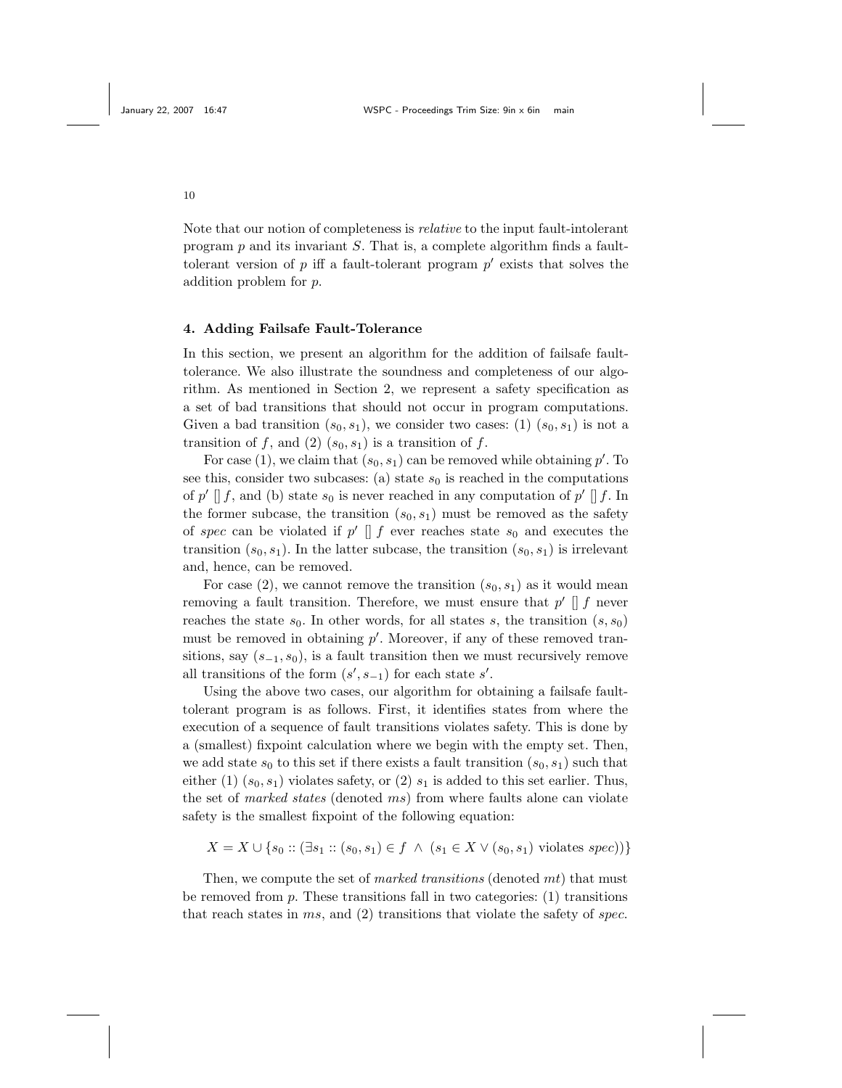Note that our notion of completeness is *relative* to the input fault-intolerant program *p* and its invariant *S*. That is, a complete algorithm finds a faulttolerant version of  $p$  iff a fault-tolerant program  $p'$  exists that solves the addition problem for *p*.

#### **4. Adding Failsafe Fault-Tolerance**

In this section, we present an algorithm for the addition of failsafe faulttolerance. We also illustrate the soundness and completeness of our algorithm. As mentioned in Section 2, we represent a safety specification as a set of bad transitions that should not occur in program computations. Given a bad transition  $(s_0, s_1)$ , we consider two cases: (1)  $(s_0, s_1)$  is not a transition of  $f$ , and  $(2)$   $(s_0, s_1)$  is a transition of  $f$ .

For case (1), we claim that  $(s_0, s_1)$  can be removed while obtaining  $p'$ . To see this, consider two subcases: (a) state  $s<sub>0</sub>$  is reached in the computations of  $p'$   $\parallel$   $f$ , and (b) state  $s_0$  is never reached in any computation of  $p'$   $\parallel$   $f$ . In the former subcase, the transition  $(s_0, s_1)$  must be removed as the safety of *spec* can be violated if  $p'$   $\parallel$   $f$  ever reaches state  $s_0$  and executes the transition  $(s_0, s_1)$ . In the latter subcase, the transition  $(s_0, s_1)$  is irrelevant and, hence, can be removed.

For case (2), we cannot remove the transition  $(s_0, s_1)$  as it would mean removing a fault transition. Therefore, we must ensure that  $p' \parallel f$  never reaches the state  $s_0$ . In other words, for all states  $s$ , the transition  $(s, s_0)$ must be removed in obtaining  $p'$ . Moreover, if any of these removed transitions, say  $(s_{-1}, s_0)$ , is a fault transition then we must recursively remove all transitions of the form  $(s', s_{-1})$  for each state  $s'$ .

Using the above two cases, our algorithm for obtaining a failsafe faulttolerant program is as follows. First, it identifies states from where the execution of a sequence of fault transitions violates safety. This is done by a (smallest) fixpoint calculation where we begin with the empty set. Then, we add state  $s_0$  to this set if there exists a fault transition  $(s_0, s_1)$  such that either  $(1)$   $(s_0, s_1)$  violates safety, or  $(2)$   $s_1$  is added to this set earlier. Thus, the set of *marked states* (denoted *ms*) from where faults alone can violate safety is the smallest fixpoint of the following equation:

$$
X = X \cup \{s_0 : (\exists s_1 : (s_0, s_1) \in f \land (s_1 \in X \lor (s_0, s_1) \text{ violates } spec))\}
$$

Then, we compute the set of *marked transitions* (denoted *mt*) that must be removed from *p*. These transitions fall in two categories: (1) transitions that reach states in *ms*, and (2) transitions that violate the safety of *spec*.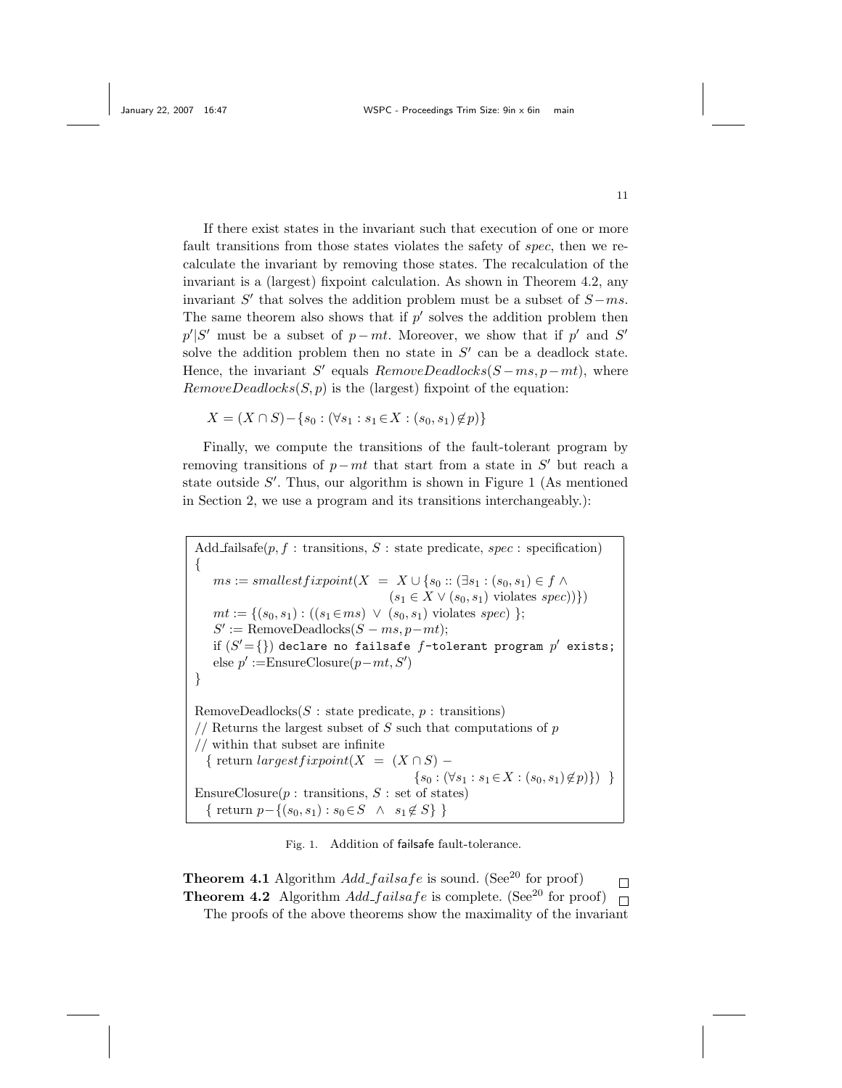If there exist states in the invariant such that execution of one or more fault transitions from those states violates the safety of *spec*, then we recalculate the invariant by removing those states. The recalculation of the invariant is a (largest) fixpoint calculation. As shown in Theorem 4.2, any invariant  $S'$  that solves the addition problem must be a subset of  $S - ms$ . The same theorem also shows that if  $p'$  solves the addition problem then  $p'|S'$  must be a subset of *p − mt*. Moreover, we show that if *p*' and *S*' solve the addition problem then no state in  $S'$  can be a deadlock state. Hence, the invariant *S'* equals  $RemoveDeadlocks(S - ms, p - mt)$ , where  $RemoveDeadlocks(S, p)$  is the (largest) fixpoint of the equation:

 $X = (X \cap S) - \{s_0 : (\forall s_1 : s_1 \in X : (s_0, s_1) \notin p)\}$ 

Finally, we compute the transitions of the fault-tolerant program by removing transitions of *p*−*mt* that start from a state in *S*<sup>*'*</sup> but reach a state outside  $S'$ . Thus, our algorithm is shown in Figure 1 (As mentioned in Section 2, we use a program and its transitions interchangeably.):

Add failsafe( $p, f$ : transitions,  $S$ : state predicate,  $spec$ : specification) {  $ms := smallestfixpoint(X = X \cup \{s_0 : : (\exists s_1 : (s_0, s_1) \in f \wedge$  $(s_1 \in X \vee (s_0, s_1)$  violates  $spec))$  $mt := \{(s_0, s_1) : ((s_1 \in ms) \lor (s_0, s_1) \text{ violates } spec) \};$  $S' := \overline{\text{RemoveDeadlocks}(S - ms, p - mt)};$ if  $(S' = \{\})$  declare no failsafe f-tolerant program  $p'$  exists; else  $p' := \text{EnsureClosure}(p - mt, S')$ } RemoveDeadlocks $(S : state \text{ predicate}, p : transitions)$ // Returns the largest subset of S such that computations of  $p$ // within that subset are infinite { return largest fixpoint( $X = (X \cap S)$  –  $\{s_0 : (\forall s_1 : s_1 \in X : (s_0, s_1) \notin p)\})$  } EnsureClosure $(p:$  transitions,  $S:$  set of states) { return  $p-\{(s_0,s_1): s_0\in S \ \wedge \ s_1\notin S\}$  }

Fig. 1. Addition of failsafe fault-tolerance.

**Theorem 4.1** Algorithm  $Add\_failsafe$  is sound. (See<sup>20</sup> for proof)  $\Box$ **Theorem 4.2** Algorithm  $Add\_failsafe$  is complete. (See<sup>20</sup> for proof)  $\Box$ The proofs of the above theorems show the maximality of the invariant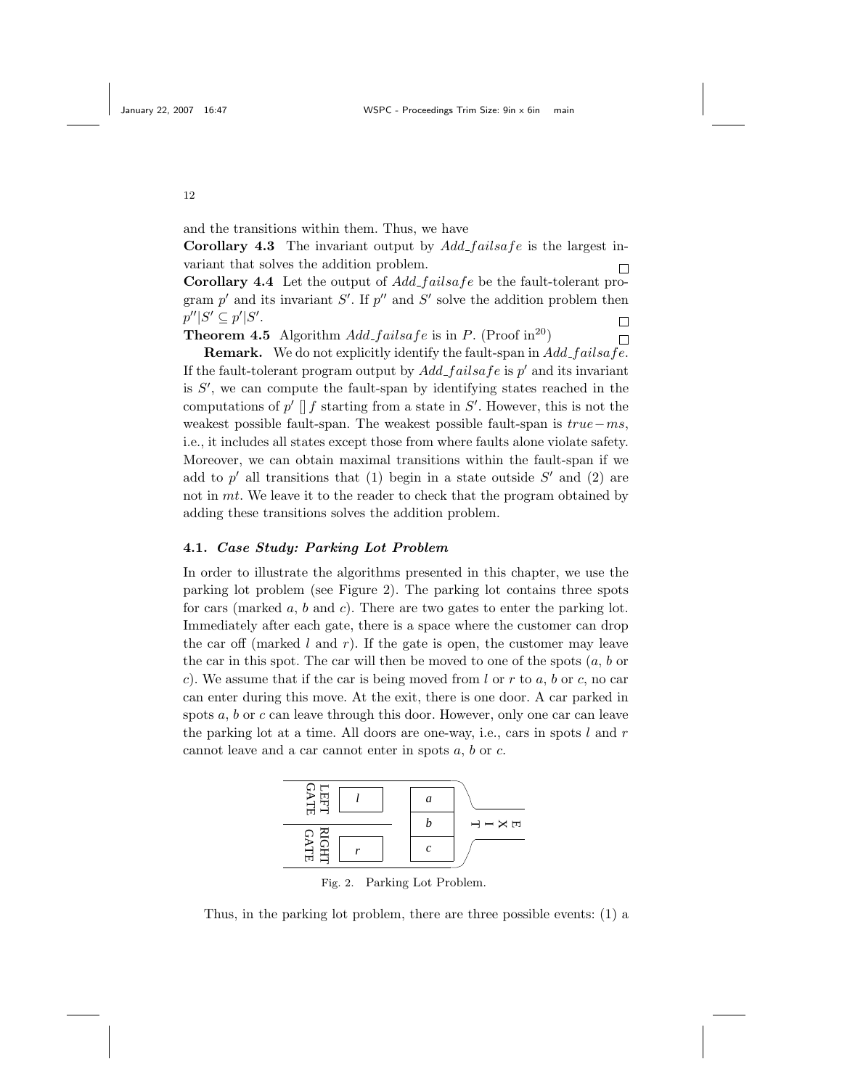$\Box$ 

12

and the transitions within them. Thus, we have

**Corollary 4.3** The invariant output by *Add f ailsafe* is the largest invariant that solves the addition problem.  $\Box$ 

**Corollary 4.4** Let the output of *Add f ailsafe* be the fault-tolerant program  $p'$  and its invariant  $S'$ . If  $p''$  and  $S'$  solve the addition problem then  $p''|S' \subseteq p'|S'.$  $\Box$ 

**Theorem 4.5** Algorithm  $Add\_failsafe$  is in *P*. (Proof in<sup>20</sup>)

**Remark.** We do not explicitly identify the fault-span in *Add f ailsafe*. If the fault-tolerant program output by  $Add\_failsafe$  is  $p'$  and its invariant is  $S'$ , we can compute the fault-span by identifying states reached in the computations of  $p'$  |  $f$  starting from a state in  $S'$ . However, this is not the weakest possible fault-span. The weakest possible fault-span is *true−ms*, i.e., it includes all states except those from where faults alone violate safety. Moreover, we can obtain maximal transitions within the fault-span if we add to  $p'$  all transitions that (1) begin in a state outside  $S'$  and (2) are not in *mt*. We leave it to the reader to check that the program obtained by adding these transitions solves the addition problem.

# **4.1.** *Case Study: Parking Lot Problem*

In order to illustrate the algorithms presented in this chapter, we use the parking lot problem (see Figure 2). The parking lot contains three spots for cars (marked *a*, *b* and *c*). There are two gates to enter the parking lot. Immediately after each gate, there is a space where the customer can drop the car off (marked  $l$  and  $r$ ). If the gate is open, the customer may leave the car in this spot. The car will then be moved to one of the spots (*a*, *b* or *c*). We assume that if the car is being moved from *l* or *r* to *a*, *b* or *c*, no car can enter during this move. At the exit, there is one door. A car parked in spots *a*, *b* or *c* can leave through this door. However, only one car can leave the parking lot at a time. All doors are one-way, i.e., cars in spots *l* and *r* cannot leave and a car cannot enter in spots *a*, *b* or *c*.



Fig. 2. Parking Lot Problem.

Thus, in the parking lot problem, there are three possible events: (1) a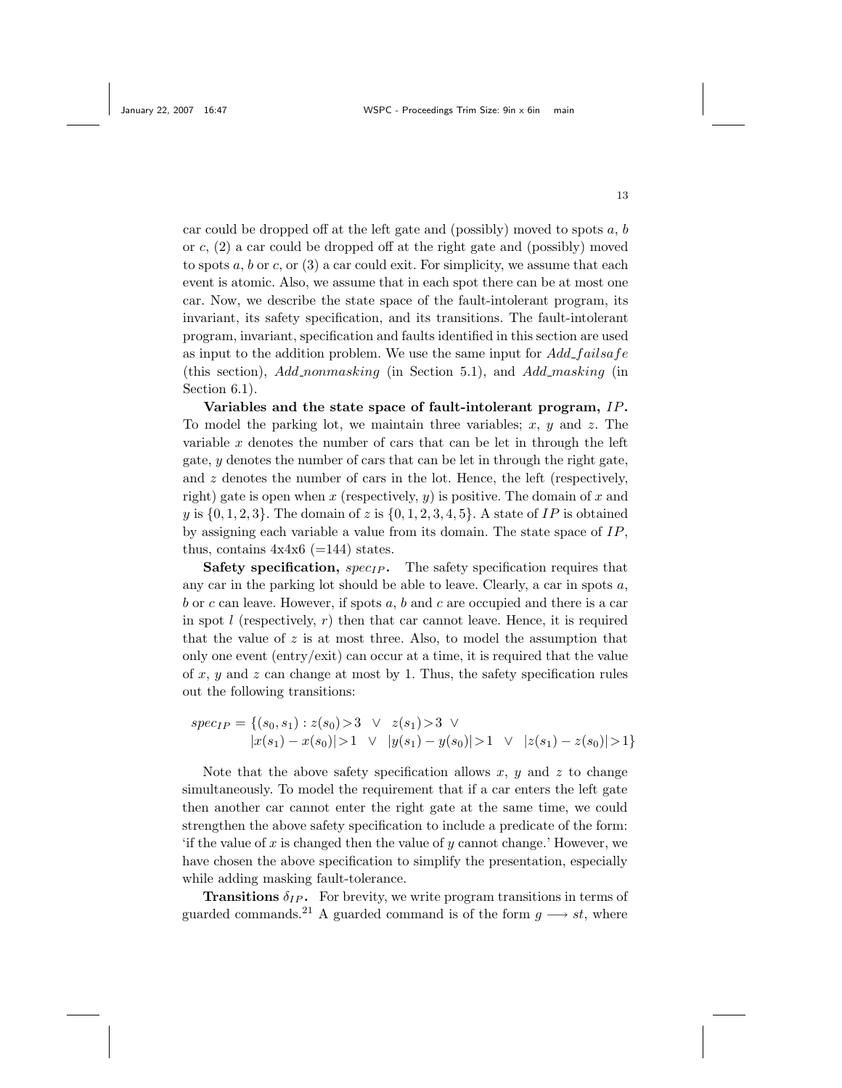car could be dropped off at the left gate and (possibly) moved to spots *a*, *b* or *c*, (2) a car could be dropped off at the right gate and (possibly) moved to spots *a*, *b* or *c*, or (3) a car could exit. For simplicity, we assume that each event is atomic. Also, we assume that in each spot there can be at most one car. Now, we describe the state space of the fault-intolerant program, its invariant, its safety specification, and its transitions. The fault-intolerant program, invariant, specification and faults identified in this section are used as input to the addition problem. We use the same input for *Add f ailsafe* (this section), *Add nonmasking* (in Section 5.1), and *Add masking* (in Section 6.1).

**Variables and the state space of fault-intolerant program,** *IP***.** To model the parking lot, we maintain three variables; *x*, *y* and *z*. The variable *x* denotes the number of cars that can be let in through the left gate, *y* denotes the number of cars that can be let in through the right gate, and *z* denotes the number of cars in the lot. Hence, the left (respectively, right) gate is open when  $x$  (respectively,  $y$ ) is positive. The domain of  $x$  and *y* is *{*0*,* 1*,* 2*,* 3*}*. The domain of *z* is *{*0*,* 1*,* 2*,* 3*,* 4*,* 5*}*. A state of *IP* is obtained by assigning each variable a value from its domain. The state space of *IP*, thus, contains  $4x4x6$  (=144) states.

**Safety specification,** *spec<sub>IP</sub>*. The safety specification requires that any car in the parking lot should be able to leave. Clearly, a car in spots *a*, *b* or *c* can leave. However, if spots *a*, *b* and *c* are occupied and there is a car in spot  $l$  (respectively,  $r$ ) then that car cannot leave. Hence, it is required that the value of *z* is at most three. Also, to model the assumption that only one event (entry/exit) can occur at a time, it is required that the value of *x*, *y* and *z* can change at most by 1. Thus, the safety specification rules out the following transitions:

$$
spec_{IP} = \{(s_0, s_1) : z(s_0) > 3 \quad \lor \quad z(s_1) > 3 \quad \lor \quad |x(s_1) - x(s_0)| > 1 \quad \lor \quad |y(s_1) - y(s_0)| > 1 \quad \lor \quad |z(s_1) - z(s_0)| > 1\}
$$

Note that the above safety specification allows  $x, y$  and  $z$  to change simultaneously. To model the requirement that if a car enters the left gate then another car cannot enter the right gate at the same time, we could strengthen the above safety specification to include a predicate of the form: 'if the value of *x* is changed then the value of *y* cannot change.' However, we have chosen the above specification to simplify the presentation, especially while adding masking fault-tolerance.

**Transitions**  $\delta_{IP}$ . For brevity, we write program transitions in terms of guarded commands.<sup>21</sup> A guarded command is of the form  $g \rightarrow st$ , where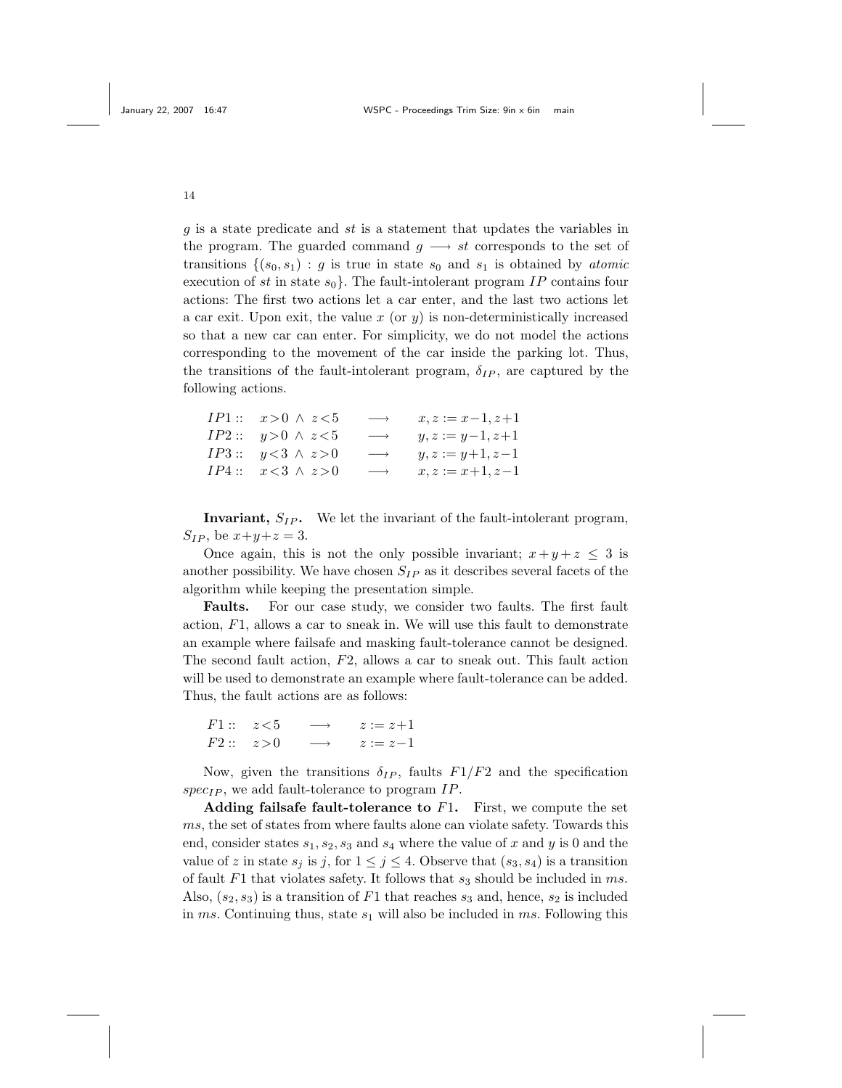*g* is a state predicate and *st* is a statement that updates the variables in the program. The guarded command *g −→ st* corresponds to the set of transitions  $\{(s_0, s_1) : g \text{ is true in state } s_0 \text{ and } s_1 \text{ is obtained by } atomic\}$ execution of *st* in state  $s_0$ . The fault-intolerant program *IP* contains four actions: The first two actions let a car enter, and the last two actions let a car exit. Upon exit, the value *x* (or *y*) is non-deterministically increased so that a new car can enter. For simplicity, we do not model the actions corresponding to the movement of the car inside the parking lot. Thus, the transitions of the fault-intolerant program,  $\delta_{IP}$ , are captured by the following actions.

| <i>IP</i> 1 :: $x>0 \land z<5$     |                   | $\longrightarrow$ $x, z := x-1, z+1$ |
|------------------------------------|-------------------|--------------------------------------|
| <i>IP2</i> :: $y>0 \land z<5$      | $\longrightarrow$ | $y, z := y-1, z+1$                   |
| <i>IP3</i> :: $y < 3 \land z > 0$  | $\longrightarrow$ | $y, z := y+1, z-1$                   |
| <i>IP</i> 4 :: $x < 3 \land z > 0$ | $\longrightarrow$ | $x, z := x+1, z-1$                   |

**Invariant,**  $S_{IP}$ . We let the invariant of the fault-intolerant program, *S*<sub>*IP*</sub>, be  $x + y + z = 3$ .

Once again, this is not the only possible invariant;  $x + y + z \leq 3$  is another possibility. We have chosen *SIP* as it describes several facets of the algorithm while keeping the presentation simple.

Faults. For our case study, we consider two faults. The first fault action, *F*1, allows a car to sneak in. We will use this fault to demonstrate an example where failsafe and masking fault-tolerance cannot be designed. The second fault action, *F*2, allows a car to sneak out. This fault action will be used to demonstrate an example where fault-tolerance can be added. Thus, the fault actions are as follows:

*F*1 :: *z <*5 *−→ z* := *z*+1 *F*2 :: *z >*0 *−→ z* := *z−*1

Now, given the transitions  $\delta_{IP}$ , faults  $F1/F2$  and the specification *specIP* , we add fault-tolerance to program *IP*.

**Adding failsafe fault-tolerance to** *F*1**.** First, we compute the set *ms*, the set of states from where faults alone can violate safety. Towards this end, consider states  $s_1, s_2, s_3$  and  $s_4$  where the value of x and y is 0 and the value of *z* in state  $s_j$  is *j*, for  $1 \leq j \leq 4$ . Observe that  $(s_3, s_4)$  is a transition of fault *F*1 that violates safety. It follows that *s*<sup>3</sup> should be included in *ms*. Also,  $(s_2, s_3)$  is a transition of  $F1$  that reaches  $s_3$  and, hence,  $s_2$  is included in *ms*. Continuing thus, state *s*<sup>1</sup> will also be included in *ms*. Following this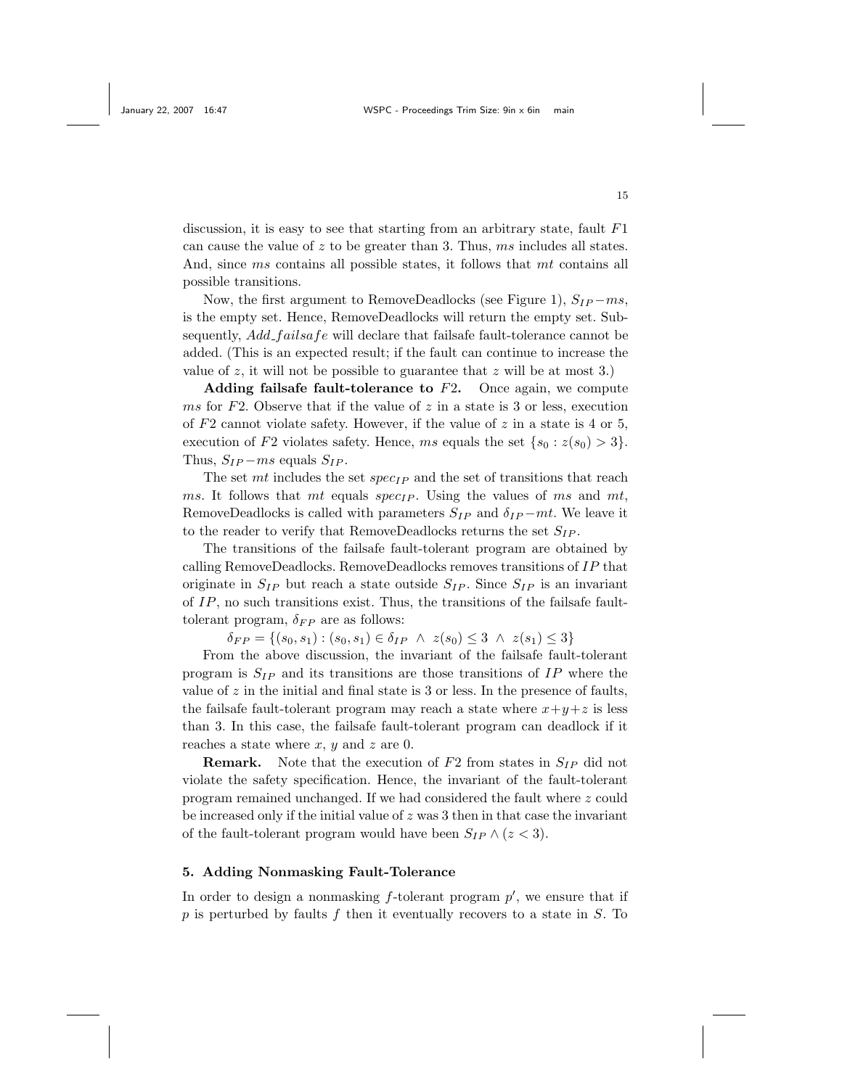discussion, it is easy to see that starting from an arbitrary state, fault *F*1 can cause the value of *z* to be greater than 3. Thus, *ms* includes all states. And, since *ms* contains all possible states, it follows that *mt* contains all possible transitions.

Now, the first argument to RemoveDeadlocks (see Figure 1), *SIP −ms*, is the empty set. Hence, RemoveDeadlocks will return the empty set. Subsequently, *Add f ailsafe* will declare that failsafe fault-tolerance cannot be added. (This is an expected result; if the fault can continue to increase the value of *z*, it will not be possible to guarantee that *z* will be at most 3.)

**Adding failsafe fault-tolerance to** *F*2**.** Once again, we compute *ms* for *F*2. Observe that if the value of *z* in a state is 3 or less, execution of *F*2 cannot violate safety. However, if the value of *z* in a state is 4 or 5, execution of *F*2 violates safety. Hence, *ms* equals the set  $\{s_0 : z(s_0) > 3\}$ . Thus,  $S_{IP}$ *−ms* equals  $S_{IP}$ .

The set *mt* includes the set *specIP* and the set of transitions that reach *ms*. It follows that *mt* equals *specIP* . Using the values of *ms* and *mt*, RemoveDeadlocks is called with parameters  $S_{IP}$  and  $\delta_{IP}$  *−mt*. We leave it to the reader to verify that RemoveDeadlocks returns the set *SIP* .

The transitions of the failsafe fault-tolerant program are obtained by calling RemoveDeadlocks. RemoveDeadlocks removes transitions of *IP* that originate in  $S_{IP}$  but reach a state outside  $S_{IP}$ . Since  $S_{IP}$  is an invariant of *IP*, no such transitions exist. Thus, the transitions of the failsafe faulttolerant program,  $\delta_{FP}$  are as follows:

 $\delta_{FP} = \{(s_0, s_1) : (s_0, s_1) \in \delta_{IP} \land z(s_0) \leq 3 \land z(s_1) \leq 3\}$ 

From the above discussion, the invariant of the failsafe fault-tolerant program is *SIP* and its transitions are those transitions of *IP* where the value of *z* in the initial and final state is 3 or less. In the presence of faults, the failsafe fault-tolerant program may reach a state where  $x+y+z$  is less than 3. In this case, the failsafe fault-tolerant program can deadlock if it reaches a state where *x*, *y* and *z* are 0.

**Remark.** Note that the execution of *F*2 from states in *SIP* did not violate the safety specification. Hence, the invariant of the fault-tolerant program remained unchanged. If we had considered the fault where *z* could be increased only if the initial value of *z* was 3 then in that case the invariant of the fault-tolerant program would have been  $S_{IP} \wedge (z < 3)$ .

#### **5. Adding Nonmasking Fault-Tolerance**

In order to design a nonmasking  $f$ -tolerant program  $p'$ , we ensure that if *p* is perturbed by faults *f* then it eventually recovers to a state in *S*. To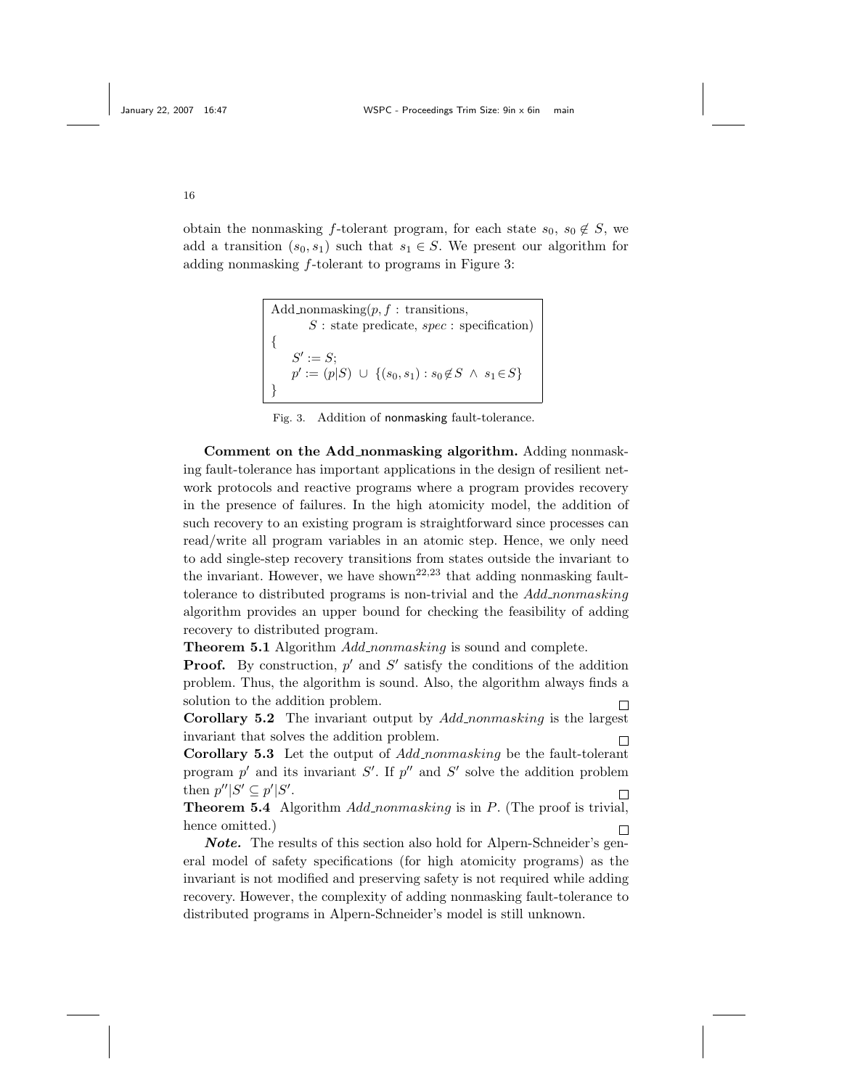obtain the nonmasking *f*-tolerant program, for each state  $s_0, s_0 \notin S$ , we add a transition  $(s_0, s_1)$  such that  $s_1 \in S$ . We present our algorithm for adding nonmasking *f*-tolerant to programs in Figure 3:

| Add nonmasking $(p, f :$ transitions,                            |
|------------------------------------------------------------------|
| $S:$ state predicate, $spec:$ specification)                     |
|                                                                  |
| $S' := S$                                                        |
| $p' := (p S) \cup \{(s_0, s_1) : s_0 \notin S \land s_1 \in S\}$ |
|                                                                  |

Fig. 3. Addition of nonmasking fault-tolerance.

**Comment on the Add nonmasking algorithm.** Adding nonmasking fault-tolerance has important applications in the design of resilient network protocols and reactive programs where a program provides recovery in the presence of failures. In the high atomicity model, the addition of such recovery to an existing program is straightforward since processes can read/write all program variables in an atomic step. Hence, we only need to add single-step recovery transitions from states outside the invariant to the invariant. However, we have shown<sup>22,23</sup> that adding nonmasking faulttolerance to distributed programs is non-trivial and the *Add nonmasking* algorithm provides an upper bound for checking the feasibility of adding recovery to distributed program.

**Theorem 5.1** Algorithm *Add nonmasking* is sound and complete.

**Proof.** By construction,  $p'$  and  $S'$  satisfy the conditions of the addition problem. Thus, the algorithm is sound. Also, the algorithm always finds a solution to the addition problem. П

**Corollary 5.2** The invariant output by *Add nonmasking* is the largest invariant that solves the addition problem.  $\Box$ 

**Corollary 5.3** Let the output of *Add nonmasking* be the fault-tolerant program  $p'$  and its invariant  $S'$ . If  $p''$  and  $S'$  solve the addition problem then  $p''|S' \subseteq p'|S'.$  $\Box$ 

**Theorem 5.4** Algorithm *Add nonmasking* is in *P*. (The proof is trivial, hence omitted.)  $\Box$ 

*Note.* The results of this section also hold for Alpern-Schneider's general model of safety specifications (for high atomicity programs) as the invariant is not modified and preserving safety is not required while adding recovery. However, the complexity of adding nonmasking fault-tolerance to distributed programs in Alpern-Schneider's model is still unknown.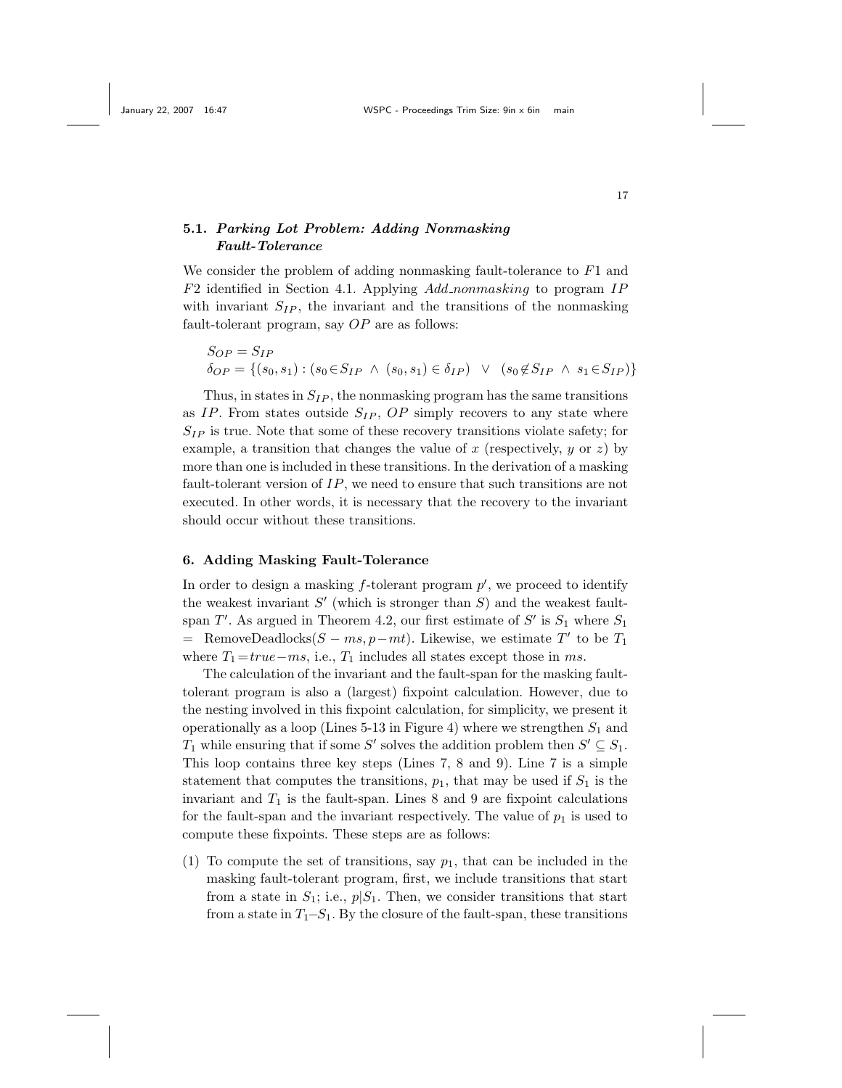# **5.1.** *Parking Lot Problem: Adding Nonmasking Fault-Tolerance*

We consider the problem of adding nonmasking fault-tolerance to *F*1 and *F*2 identified in Section 4.1. Applying *Add nonmasking* to program *IP* with invariant  $S_{IP}$ , the invariant and the transitions of the nonmasking fault-tolerant program, say *OP* are as follows:

$$
S_{OP} = S_{IP}
$$
  
\n
$$
\delta_{OP} = \{(s_0, s_1) : (s_0 \in S_{IP} \land (s_0, s_1) \in \delta_{IP}) \lor (s_0 \notin S_{IP} \land s_1 \in S_{IP})\}
$$

Thus, in states in *SIP* , the nonmasking program has the same transitions as *IP*. From states outside *SIP* , *OP* simply recovers to any state where *SIP* is true. Note that some of these recovery transitions violate safety; for example, a transition that changes the value of *x* (respectively, *y* or *z*) by more than one is included in these transitions. In the derivation of a masking fault-tolerant version of *IP*, we need to ensure that such transitions are not executed. In other words, it is necessary that the recovery to the invariant should occur without these transitions.

#### **6. Adding Masking Fault-Tolerance**

In order to design a masking  $f$ -tolerant program  $p'$ , we proceed to identify the weakest invariant  $S'$  (which is stronger than  $S$ ) and the weakest faultspan  $T'$ . As argued in Theorem 4.2, our first estimate of  $S'$  is  $S_1$  where  $S_1$ = RemoveDeadlocks(*S − ms, p−mt*). Likewise, we estimate *T 0* to be *T*<sup>1</sup> where  $T_1 = true - ms$ , i.e.,  $T_1$  includes all states except those in  $ms$ .

The calculation of the invariant and the fault-span for the masking faulttolerant program is also a (largest) fixpoint calculation. However, due to the nesting involved in this fixpoint calculation, for simplicity, we present it operationally as a loop (Lines 5-13 in Figure 4) where we strengthen  $S_1$  and *T*<sub>1</sub> while ensuring that if some *S'* solves the addition problem then  $S' \subseteq S_1$ . This loop contains three key steps (Lines 7, 8 and 9). Line 7 is a simple statement that computes the transitions,  $p_1$ , that may be used if  $S_1$  is the invariant and  $T_1$  is the fault-span. Lines  $8$  and  $9$  are fixpoint calculations for the fault-span and the invariant respectively. The value of  $p_1$  is used to compute these fixpoints. These steps are as follows:

(1) To compute the set of transitions, say  $p_1$ , that can be included in the masking fault-tolerant program, first, we include transitions that start from a state in  $S_1$ ; i.e.,  $p|S_1$ . Then, we consider transitions that start from a state in  $T_1$ <sup>−</sup> $S_1$ . By the closure of the fault-span, these transitions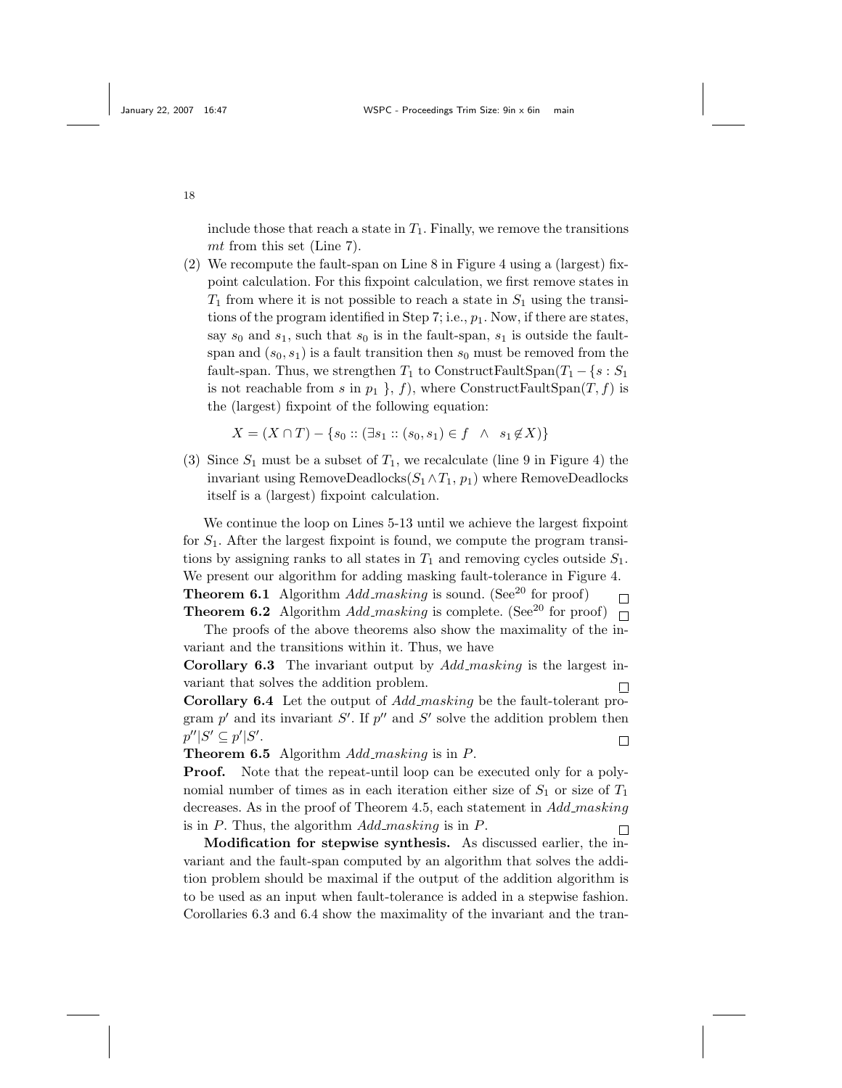include those that reach a state in  $T_1$ . Finally, we remove the transitions *mt* from this set (Line 7).

(2) We recompute the fault-span on Line 8 in Figure 4 using a (largest) fixpoint calculation. For this fixpoint calculation, we first remove states in  $T_1$  from where it is not possible to reach a state in  $S_1$  using the transitions of the program identified in Step 7; i.e., *p*1. Now, if there are states, say  $s_0$  and  $s_1$ , such that  $s_0$  is in the fault-span,  $s_1$  is outside the faultspan and  $(s_0, s_1)$  is a fault transition then  $s_0$  must be removed from the fault-span. Thus, we strengthen  $T_1$  to ConstructFaultSpan( $T_1 - \{s : S_1\}$ is not reachable from *s* in  $p_1$  }, *f*), where ConstructFaultSpan(*T*, *f*) is the (largest) fixpoint of the following equation:

$$
X = (X \cap T) - \{s_0 : (\exists s_1 : (s_0, s_1) \in f \land s_1 \notin X)\}\
$$

(3) Since  $S_1$  must be a subset of  $T_1$ , we recalculate (line 9 in Figure 4) the invariant using RemoveDeadlocks( $S_1 \wedge T_1$ ,  $p_1$ ) where RemoveDeadlocks itself is a (largest) fixpoint calculation.

We continue the loop on Lines 5-13 until we achieve the largest fixpoint for *S*1. After the largest fixpoint is found, we compute the program transitions by assigning ranks to all states in  $T_1$  and removing cycles outside  $S_1$ . We present our algorithm for adding masking fault-tolerance in Figure 4. **Theorem 6.1** Algorithm *Add\_masking* is sound. (See<sup>20</sup> for proof)  $\Box$ 

**Theorem 6.2** Algorithm *Add\_masking* is complete. (See<sup>20</sup> for proof)  $\Box$ The proofs of the above theorems also show the maximality of the invariant and the transitions within it. Thus, we have

**Corollary 6.3** The invariant output by *Add masking* is the largest invariant that solves the addition problem.  $\Box$ 

**Corollary 6.4** Let the output of *Add masking* be the fault-tolerant program  $p'$  and its invariant  $S'$ . If  $p''$  and  $S'$  solve the addition problem then  $p''|S' \subseteq p'|S'.$  $\Box$ 

**Theorem 6.5** Algorithm *Add masking* is in *P*.

**Proof.** Note that the repeat-until loop can be executed only for a polynomial number of times as in each iteration either size of *S*<sup>1</sup> or size of *T*<sup>1</sup> decreases. As in the proof of Theorem 4.5, each statement in *Add masking* is in *P*. Thus, the algorithm *Add masking* is in *P*.  $\Box$ 

**Modification for stepwise synthesis.** As discussed earlier, the invariant and the fault-span computed by an algorithm that solves the addition problem should be maximal if the output of the addition algorithm is to be used as an input when fault-tolerance is added in a stepwise fashion. Corollaries 6.3 and 6.4 show the maximality of the invariant and the tran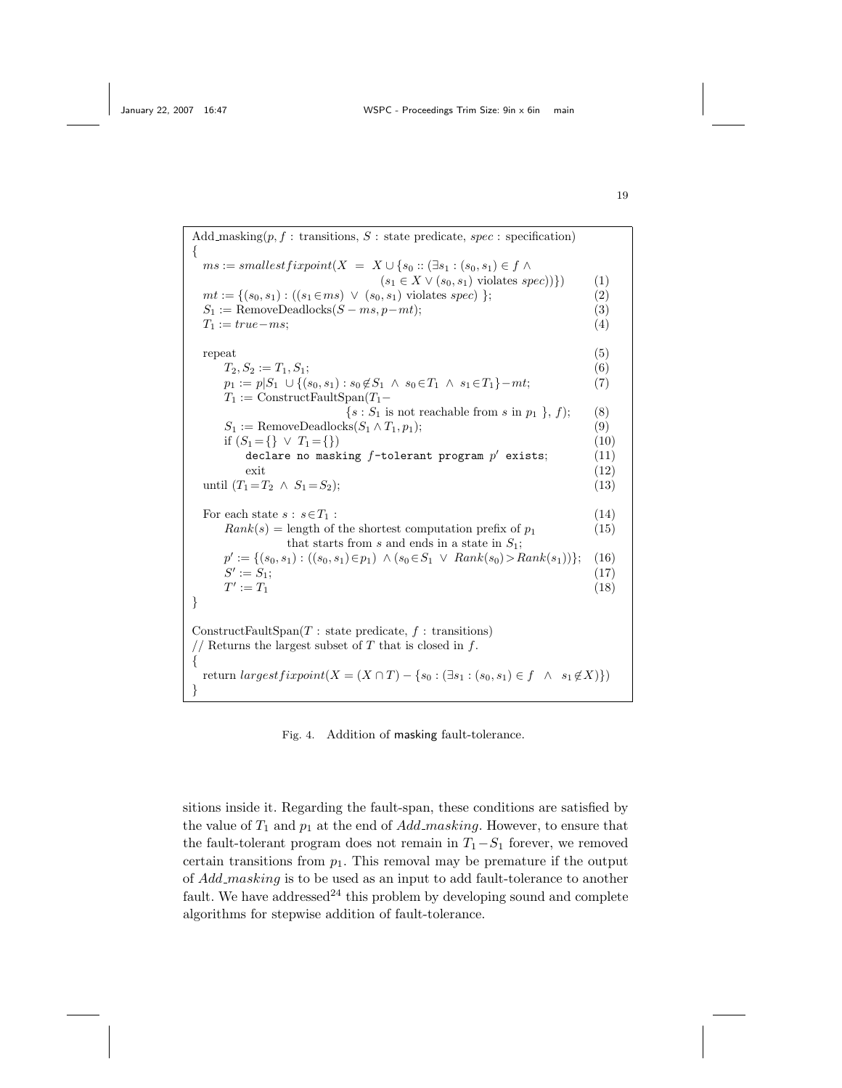Add\_masking $(p, f :$ transitions, S : state predicate, spec : specification) {  $ms := smallestfixpoint(X = X \cup \{s_0 :: (\exists s_1 : (s_0, s_1) \in f \wedge$  $(s_1 \in X \vee (s_0, s_1)$  violates  $spec)$ }} (1)  $mt := \{(s_0, s_1) : ((s_1 \in ms) \lor (s_0, s_1) \text{ violates } spec) \};$ <br>  $S_1 := \text{RemoveDeadlocks}(S - ms, p - mt);$  (3)  $S_1 :=$  RemoveDeadlocks( $S - ms, p - mt$ );  $T_1 := true - ms;$  (4) repeat (5)  $T_2, S_2 := T_1, S_1;$  (6)  $p_1 := p|S_1 \cup \{(s_0, s_1) : s_0 \notin S_1 \land s_0 \in T_1 \land s_1 \in T_1\} - mt;$  (7)  $T_1 :=$  ConstructFaultSpan( $T_1 \{s : S_1 \text{ is not reachable from } s \text{ in } p_1 \}, f$ ; (8)  $S_1 := \text{RemoveDeadlocks}(S_1 \wedge T_1, p_1);$  (9) if  $(S_1 = \{\}\ \vee T_1 = \{\})$  (10) declare no masking f-tolerant program  $p'$  exists;  $(11)$  $ext(12)$ until  $(T_1 = T_2 \land S_1 = S_2);$  (13) For each state  $s : s \in T_1$  : (14)  $Rank(s) = length of the shortest computation prefix of p<sub>1</sub>$  (15) that starts from  $s$  and ends in a state in  $S_1$ ;  $p' := \{(s_0, s_1) : ((s_0, s_1) \in p_1) \land (s_0 \in S_1 \lor Rank(s_0) > Rank(s_1))\};$  (16)  $\tilde{s}'$  $:= S_1;$  (17)  $T'$  $:= T_1$  (18) } ConstructFaultSpan $(T : state \text{ predicate}, f : transitions)$ // Returns the largest subset of  $T$  that is closed in  $f$ . { return largest fixpoint( $X = (X \cap T) - \{s_0 : (\exists s_1 : (s_0, s_1) \in f \land s_1 \notin X)\}\$ }

Fig. 4. Addition of masking fault-tolerance.

sitions inside it. Regarding the fault-span, these conditions are satisfied by the value of  $T_1$  and  $p_1$  at the end of *Add\_masking*. However, to ensure that the fault-tolerant program does not remain in  $T_1 - S_1$  forever, we removed certain transitions from  $p_1$ . This removal may be premature if the output of *Add masking* is to be used as an input to add fault-tolerance to another fault. We have addressed<sup>24</sup> this problem by developing sound and complete algorithms for stepwise addition of fault-tolerance.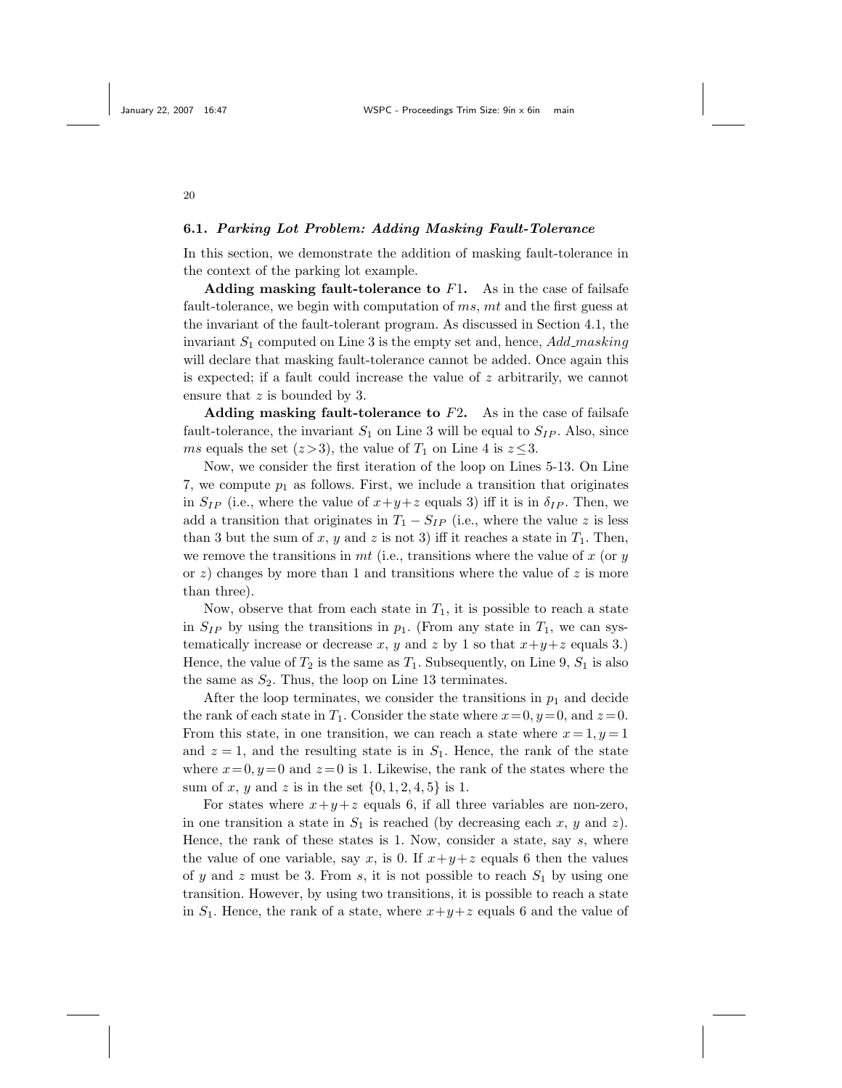# **6.1.** *Parking Lot Problem: Adding Masking Fault-Tolerance*

In this section, we demonstrate the addition of masking fault-tolerance in the context of the parking lot example.

**Adding masking fault-tolerance to** *F*1**.** As in the case of failsafe fault-tolerance, we begin with computation of *ms*, *mt* and the first guess at the invariant of the fault-tolerant program. As discussed in Section 4.1, the invariant *S*<sup>1</sup> computed on Line 3 is the empty set and, hence, *Add masking* will declare that masking fault-tolerance cannot be added. Once again this is expected; if a fault could increase the value of *z* arbitrarily, we cannot ensure that *z* is bounded by 3.

**Adding masking fault-tolerance to** *F*2**.** As in the case of failsafe fault-tolerance, the invariant  $S_1$  on Line 3 will be equal to  $S_{IP}$ . Also, since *ms* equals the set (*z*>3), the value of  $T_1$  on Line 4 is  $z \leq 3$ .

Now, we consider the first iteration of the loop on Lines 5-13. On Line 7, we compute  $p_1$  as follows. First, we include a transition that originates in  $S_{IP}$  (i.e., where the value of  $x+y+z$  equals 3) iff it is in  $\delta_{IP}$ . Then, we add a transition that originates in  $T_1 - S_{IP}$  (i.e., where the value *z* is less than 3 but the sum of x, y and z is not 3) iff it reaches a state in  $T_1$ . Then, we remove the transitions in *mt* (i.e., transitions where the value of *x* (or *y* or *z*) changes by more than 1 and transitions where the value of *z* is more than three).

Now, observe that from each state in  $T_1$ , it is possible to reach a state in  $S_{IP}$  by using the transitions in  $p_1$ . (From any state in  $T_1$ , we can systematically increase or decrease x, y and z by 1 so that  $x+y+z$  equals 3.) Hence, the value of  $T_2$  is the same as  $T_1$ . Subsequently, on Line 9,  $S_1$  is also the same as  $S_2$ . Thus, the loop on Line 13 terminates.

After the loop terminates, we consider the transitions in  $p_1$  and decide the rank of each state in  $T_1$ . Consider the state where  $x=0, y=0,$  and  $z=0$ . From this state, in one transition, we can reach a state where  $x = 1, y = 1$ and  $z = 1$ , and the resulting state is in  $S_1$ . Hence, the rank of the state where  $x=0, y=0$  and  $z=0$  is 1. Likewise, the rank of the states where the sum of *x*, *y* and *z* is in the set  $\{0, 1, 2, 4, 5\}$  is 1.

For states where  $x+y+z$  equals 6, if all three variables are non-zero, in one transition a state in  $S_1$  is reached (by decreasing each  $x, y$  and  $z$ ). Hence, the rank of these states is 1. Now, consider a state, say *s*, where the value of one variable, say x, is 0. If  $x+y+z$  equals 6 then the values of  $y$  and  $z$  must be 3. From  $s$ , it is not possible to reach  $S_1$  by using one transition. However, by using two transitions, it is possible to reach a state in  $S_1$ . Hence, the rank of a state, where  $x+y+z$  equals 6 and the value of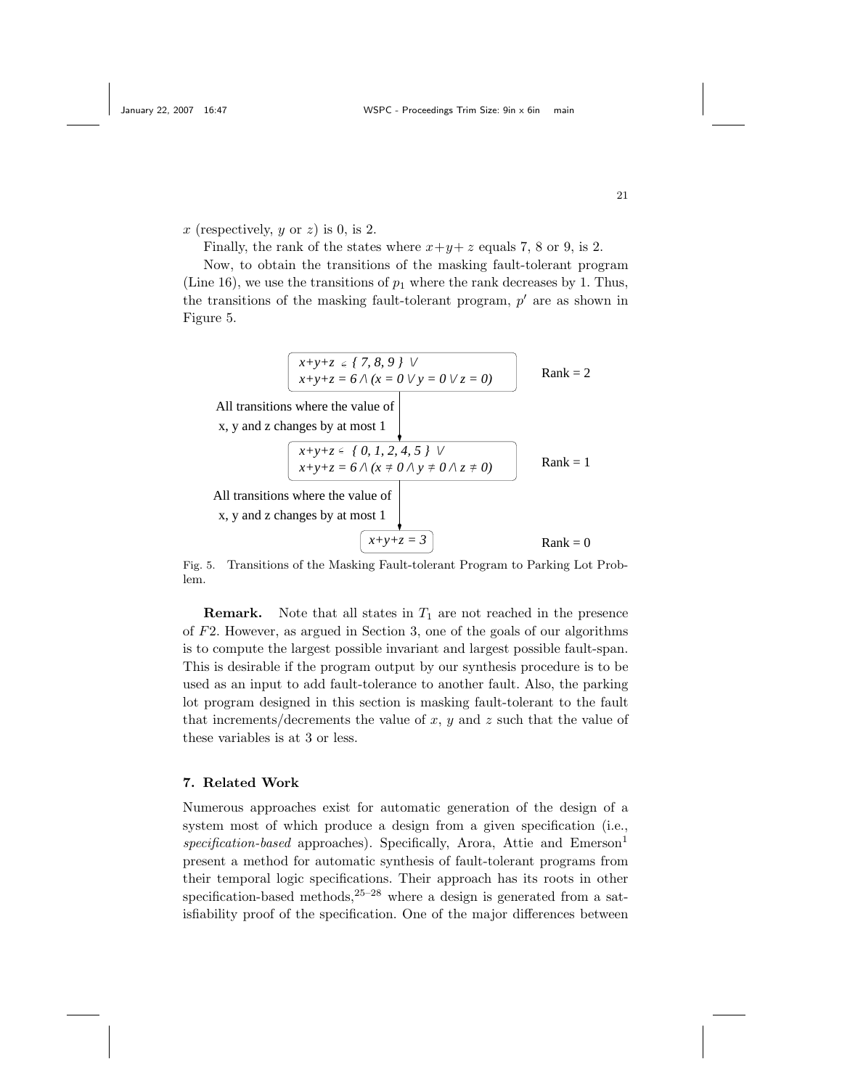*x* (respectively, *y* or *z*) is 0, is 2.

Finally, the rank of the states where  $x+y+z$  equals 7, 8 or 9, is 2.

Now, to obtain the transitions of the masking fault-tolerant program (Line 16), we use the transitions of  $p_1$  where the rank decreases by 1. Thus, the transitions of the masking fault-tolerant program,  $p'$  are as shown in Figure 5.



Fig. 5. Transitions of the Masking Fault-tolerant Program to Parking Lot Problem.

**Remark.** Note that all states in  $T_1$  are not reached in the presence of *F*2. However, as argued in Section 3, one of the goals of our algorithms is to compute the largest possible invariant and largest possible fault-span. This is desirable if the program output by our synthesis procedure is to be used as an input to add fault-tolerance to another fault. Also, the parking lot program designed in this section is masking fault-tolerant to the fault that increments/decrements the value of *x*, *y* and *z* such that the value of these variables is at 3 or less.

#### **7. Related Work**

Numerous approaches exist for automatic generation of the design of a system most of which produce a design from a given specification (i.e.,  $specification-based$  approaches). Specifically, Arora, Attie and Emerson<sup>1</sup> present a method for automatic synthesis of fault-tolerant programs from their temporal logic specifications. Their approach has its roots in other specification-based methods,  $25-28$  where a design is generated from a satisfiability proof of the specification. One of the major differences between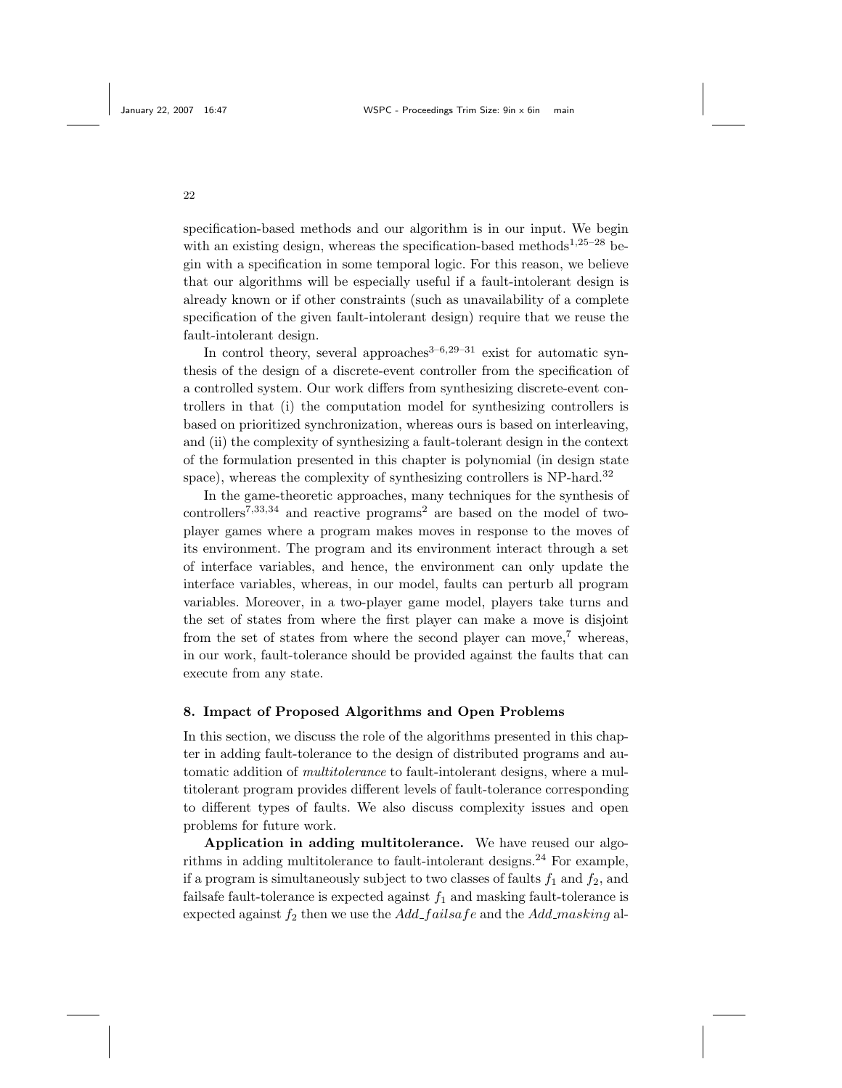specification-based methods and our algorithm is in our input. We begin with an existing design, whereas the specification-based methods<sup>1,25–28</sup> begin with a specification in some temporal logic. For this reason, we believe that our algorithms will be especially useful if a fault-intolerant design is already known or if other constraints (such as unavailability of a complete specification of the given fault-intolerant design) require that we reuse the fault-intolerant design.

In control theory, several approaches  $3-6,29-31$  exist for automatic synthesis of the design of a discrete-event controller from the specification of a controlled system. Our work differs from synthesizing discrete-event controllers in that (i) the computation model for synthesizing controllers is based on prioritized synchronization, whereas ours is based on interleaving, and (ii) the complexity of synthesizing a fault-tolerant design in the context of the formulation presented in this chapter is polynomial (in design state space), whereas the complexity of synthesizing controllers is NP-hard.<sup>32</sup>

In the game-theoretic approaches, many techniques for the synthesis of  $\text{controllers}^{7,33,34}$  and reactive programs<sup>2</sup> are based on the model of twoplayer games where a program makes moves in response to the moves of its environment. The program and its environment interact through a set of interface variables, and hence, the environment can only update the interface variables, whereas, in our model, faults can perturb all program variables. Moreover, in a two-player game model, players take turns and the set of states from where the first player can make a move is disjoint from the set of states from where the second player can move,<sup> $7$ </sup> whereas, in our work, fault-tolerance should be provided against the faults that can execute from any state.

## **8. Impact of Proposed Algorithms and Open Problems**

In this section, we discuss the role of the algorithms presented in this chapter in adding fault-tolerance to the design of distributed programs and automatic addition of *multitolerance* to fault-intolerant designs, where a multitolerant program provides different levels of fault-tolerance corresponding to different types of faults. We also discuss complexity issues and open problems for future work.

**Application in adding multitolerance.** We have reused our algorithms in adding multitolerance to fault-intolerant designs.<sup>24</sup> For example, if a program is simultaneously subject to two classes of faults  $f_1$  and  $f_2$ , and failsafe fault-tolerance is expected against  $f_1$  and masking fault-tolerance is expected against *f*<sup>2</sup> then we use the *Add f ailsafe* and the *Add masking* al-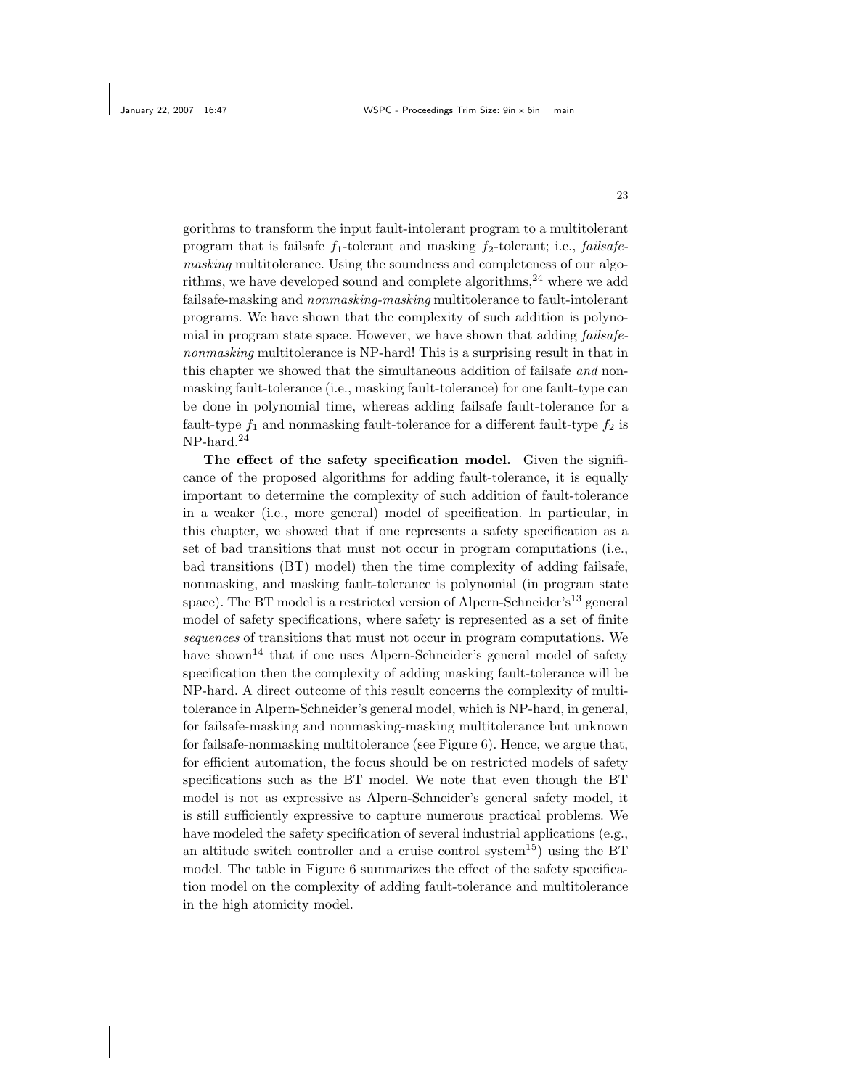gorithms to transform the input fault-intolerant program to a multitolerant program that is failsafe  $f_1$ -tolerant and masking  $f_2$ -tolerant; i.e., *failsafemasking* multitolerance. Using the soundness and completeness of our algorithms, we have developed sound and complete algorithms,  $24$  where we add failsafe-masking and *nonmasking-masking* multitolerance to fault-intolerant programs. We have shown that the complexity of such addition is polynomial in program state space. However, we have shown that adding *failsafenonmasking* multitolerance is NP-hard! This is a surprising result in that in this chapter we showed that the simultaneous addition of failsafe *and* nonmasking fault-tolerance (i.e., masking fault-tolerance) for one fault-type can be done in polynomial time, whereas adding failsafe fault-tolerance for a fault-type  $f_1$  and nonmasking fault-tolerance for a different fault-type  $f_2$  is NP-hard.<sup>24</sup>

**The effect of the safety specification model.** Given the significance of the proposed algorithms for adding fault-tolerance, it is equally important to determine the complexity of such addition of fault-tolerance in a weaker (i.e., more general) model of specification. In particular, in this chapter, we showed that if one represents a safety specification as a set of bad transitions that must not occur in program computations (i.e., bad transitions (BT) model) then the time complexity of adding failsafe, nonmasking, and masking fault-tolerance is polynomial (in program state space). The BT model is a restricted version of Alpern-Schneider's<sup>13</sup> general model of safety specifications, where safety is represented as a set of finite *sequences* of transitions that must not occur in program computations. We have shown<sup>14</sup> that if one uses Alpern-Schneider's general model of safety specification then the complexity of adding masking fault-tolerance will be NP-hard. A direct outcome of this result concerns the complexity of multitolerance in Alpern-Schneider's general model, which is NP-hard, in general, for failsafe-masking and nonmasking-masking multitolerance but unknown for failsafe-nonmasking multitolerance (see Figure 6). Hence, we argue that, for efficient automation, the focus should be on restricted models of safety specifications such as the BT model. We note that even though the BT model is not as expressive as Alpern-Schneider's general safety model, it is still sufficiently expressive to capture numerous practical problems. We have modeled the safety specification of several industrial applications (e.g., an altitude switch controller and a cruise control system<sup>15</sup>) using the BT model. The table in Figure 6 summarizes the effect of the safety specification model on the complexity of adding fault-tolerance and multitolerance in the high atomicity model.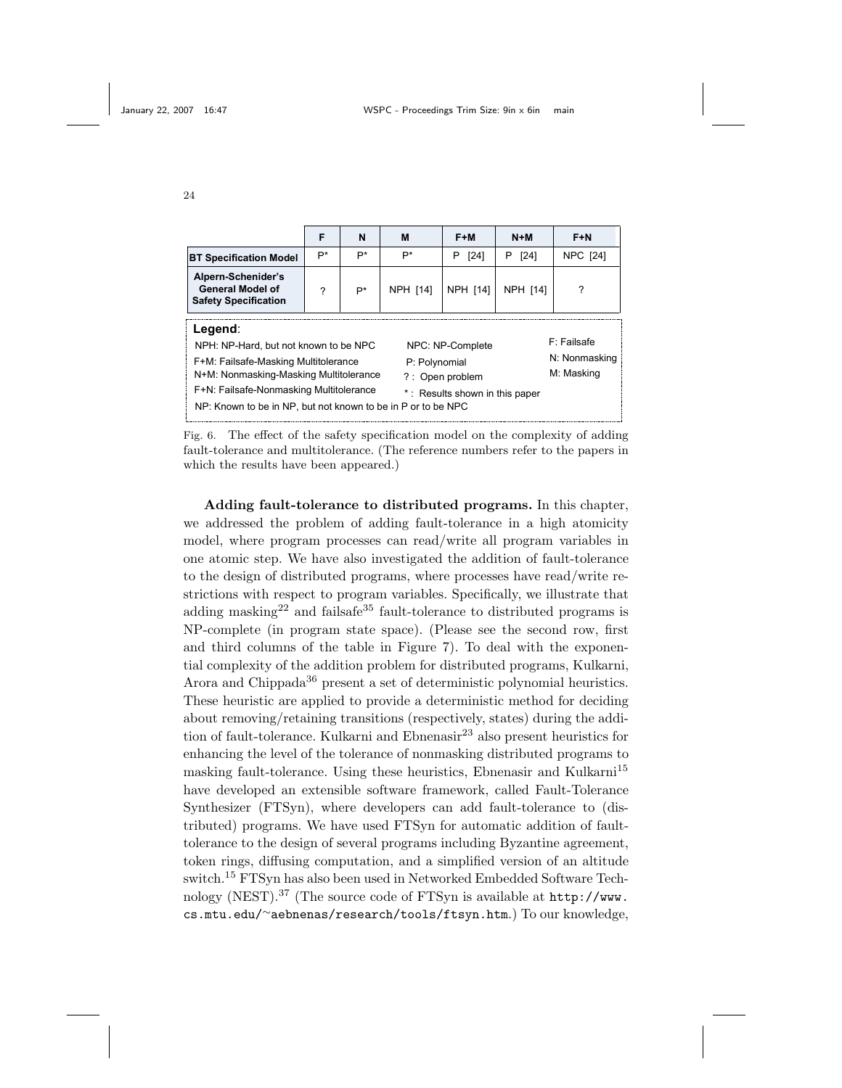|                                                                                                                                                                                                                                        | F        | N  | м               | F+M             | $N+M$     | F+N                                        |  |
|----------------------------------------------------------------------------------------------------------------------------------------------------------------------------------------------------------------------------------------|----------|----|-----------------|-----------------|-----------|--------------------------------------------|--|
| <b>BT Specification Model</b>                                                                                                                                                                                                          | P*<br>P* |    | P*              | Р<br>[24]       | P<br>[24] | <b>NPC [24]</b>                            |  |
| Alpern-Schenider's<br><b>General Model of</b><br><b>Safety Specification</b>                                                                                                                                                           | ?        | P* | <b>NPH [14]</b> | <b>NPH [14]</b> | NPH [14]  | ?                                          |  |
| Legend:<br>NPH: NP-Hard, but not known to be NPC<br>NPC: NP-Complete<br>F+M: Failsafe-Masking Multitolerance<br>P: Polynomial<br>N+M: Nonmasking-Masking Multitolerance<br>? : Open problem<br>F+N: Failsafe-Nonmasking Multitolerance |          |    |                 |                 |           | F: Failsafe<br>N: Nonmasking<br>M: Masking |  |
| *: Results shown in this paper<br>NP: Known to be in NP, but not known to be in P or to be NPC                                                                                                                                         |          |    |                 |                 |           |                                            |  |

Fig. 6. The effect of the safety specification model on the complexity of adding fault-tolerance and multitolerance. (The reference numbers refer to the papers in which the results have been appeared.)

**Adding fault-tolerance to distributed programs.** In this chapter, we addressed the problem of adding fault-tolerance in a high atomicity model, where program processes can read/write all program variables in one atomic step. We have also investigated the addition of fault-tolerance to the design of distributed programs, where processes have read/write restrictions with respect to program variables. Specifically, we illustrate that adding masking<sup>22</sup> and failsafe<sup>35</sup> fault-tolerance to distributed programs is NP-complete (in program state space). (Please see the second row, first and third columns of the table in Figure 7). To deal with the exponential complexity of the addition problem for distributed programs, Kulkarni, Arora and Chippada<sup>36</sup> present a set of deterministic polynomial heuristics. These heuristic are applied to provide a deterministic method for deciding about removing/retaining transitions (respectively, states) during the addition of fault-tolerance. Kulkarni and Ebnenasir<sup>23</sup> also present heuristics for enhancing the level of the tolerance of nonmasking distributed programs to masking fault-tolerance. Using these heuristics, Ebnenasir and Kulkarni<sup>15</sup> have developed an extensible software framework, called Fault-Tolerance Synthesizer (FTSyn), where developers can add fault-tolerance to (distributed) programs. We have used FTSyn for automatic addition of faulttolerance to the design of several programs including Byzantine agreement, token rings, diffusing computation, and a simplified version of an altitude switch.<sup>15</sup> FTSyn has also been used in Networked Embedded Software Technology (NEST).<sup>37</sup> (The source code of FTSyn is available at http://www. cs.mtu.edu/*∼*aebnenas/research/tools/ftsyn.htm.) To our knowledge,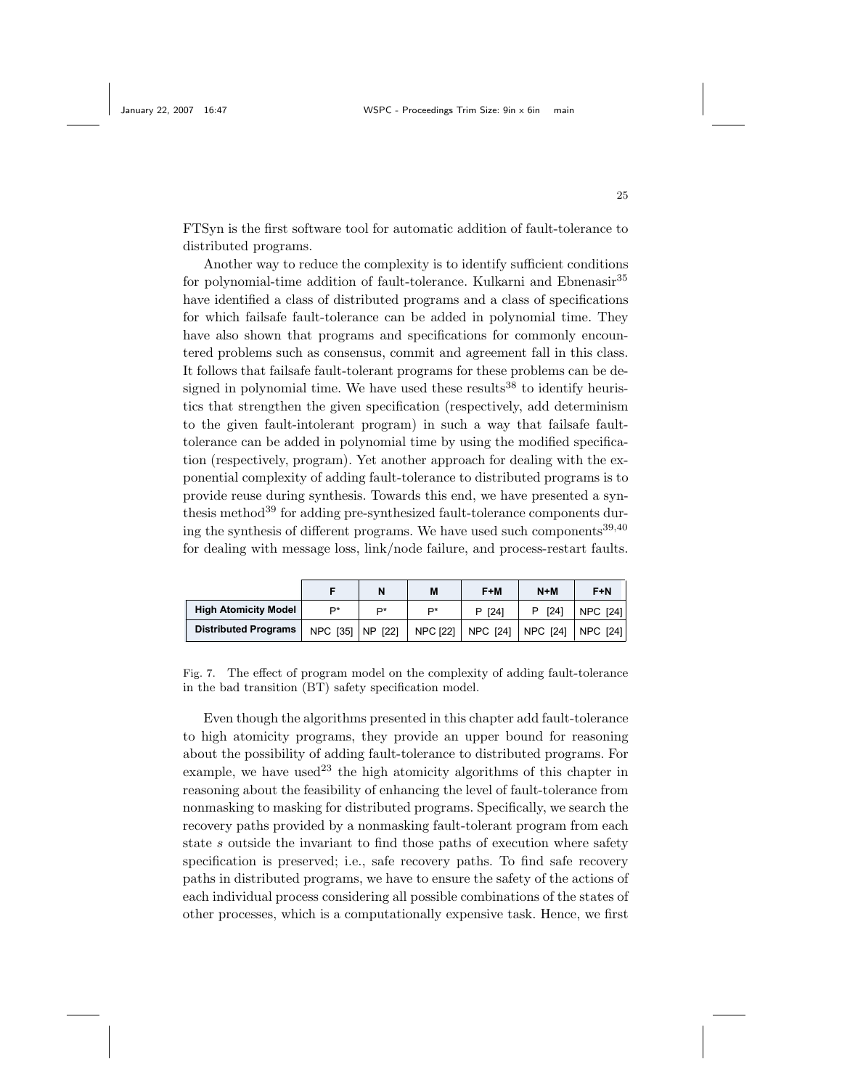FTSyn is the first software tool for automatic addition of fault-tolerance to distributed programs.

Another way to reduce the complexity is to identify sufficient conditions for polynomial-time addition of fault-tolerance. Kulkarni and Ebnenasir<sup>35</sup> have identified a class of distributed programs and a class of specifications for which failsafe fault-tolerance can be added in polynomial time. They have also shown that programs and specifications for commonly encountered problems such as consensus, commit and agreement fall in this class. It follows that failsafe fault-tolerant programs for these problems can be designed in polynomial time. We have used these results<sup>38</sup> to identify heuristics that strengthen the given specification (respectively, add determinism to the given fault-intolerant program) in such a way that failsafe faulttolerance can be added in polynomial time by using the modified specification (respectively, program). Yet another approach for dealing with the exponential complexity of adding fault-tolerance to distributed programs is to provide reuse during synthesis. Towards this end, we have presented a synthesis method<sup>39</sup> for adding pre-synthesized fault-tolerance components during the synthesis of different programs. We have used such components  $39,40$ for dealing with message loss, link/node failure, and process-restart faults.

|                             |                  | N  | М          | $F+M$           | $N+M$                   | F+N      |
|-----------------------------|------------------|----|------------|-----------------|-------------------------|----------|
| <b>High Atomicity Model</b> | D*               | D* | D*         | P [24]          | [24]<br>P               | NPC [24] |
| <b>Distributed Programs</b> | NPC [35] NP [22] |    | NPC $[22]$ | <b>NPC [24]</b> | NPC $[24]$   NPC $[24]$ |          |

Fig. 7. The effect of program model on the complexity of adding fault-tolerance in the bad transition (BT) safety specification model.

Even though the algorithms presented in this chapter add fault-tolerance to high atomicity programs, they provide an upper bound for reasoning about the possibility of adding fault-tolerance to distributed programs. For example, we have used<sup>23</sup> the high atomicity algorithms of this chapter in reasoning about the feasibility of enhancing the level of fault-tolerance from nonmasking to masking for distributed programs. Specifically, we search the recovery paths provided by a nonmasking fault-tolerant program from each state *s* outside the invariant to find those paths of execution where safety specification is preserved; i.e., safe recovery paths. To find safe recovery paths in distributed programs, we have to ensure the safety of the actions of each individual process considering all possible combinations of the states of other processes, which is a computationally expensive task. Hence, we first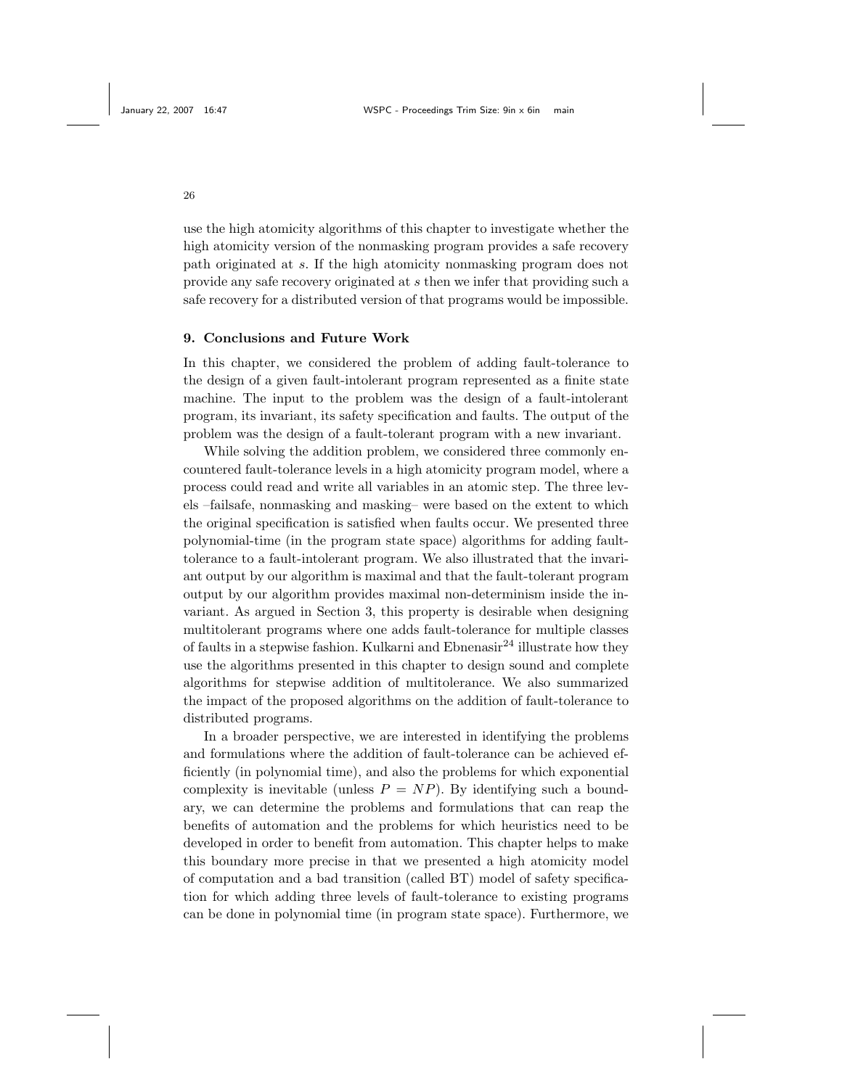use the high atomicity algorithms of this chapter to investigate whether the high atomicity version of the nonmasking program provides a safe recovery path originated at *s*. If the high atomicity nonmasking program does not provide any safe recovery originated at *s* then we infer that providing such a safe recovery for a distributed version of that programs would be impossible.

## **9. Conclusions and Future Work**

In this chapter, we considered the problem of adding fault-tolerance to the design of a given fault-intolerant program represented as a finite state machine. The input to the problem was the design of a fault-intolerant program, its invariant, its safety specification and faults. The output of the problem was the design of a fault-tolerant program with a new invariant.

While solving the addition problem, we considered three commonly encountered fault-tolerance levels in a high atomicity program model, where a process could read and write all variables in an atomic step. The three levels –failsafe, nonmasking and masking– were based on the extent to which the original specification is satisfied when faults occur. We presented three polynomial-time (in the program state space) algorithms for adding faulttolerance to a fault-intolerant program. We also illustrated that the invariant output by our algorithm is maximal and that the fault-tolerant program output by our algorithm provides maximal non-determinism inside the invariant. As argued in Section 3, this property is desirable when designing multitolerant programs where one adds fault-tolerance for multiple classes of faults in a stepwise fashion. Kulkarni and Ebnenasir<sup>24</sup> illustrate how they use the algorithms presented in this chapter to design sound and complete algorithms for stepwise addition of multitolerance. We also summarized the impact of the proposed algorithms on the addition of fault-tolerance to distributed programs.

In a broader perspective, we are interested in identifying the problems and formulations where the addition of fault-tolerance can be achieved efficiently (in polynomial time), and also the problems for which exponential complexity is inevitable (unless  $P = NP$ ). By identifying such a boundary, we can determine the problems and formulations that can reap the benefits of automation and the problems for which heuristics need to be developed in order to benefit from automation. This chapter helps to make this boundary more precise in that we presented a high atomicity model of computation and a bad transition (called BT) model of safety specification for which adding three levels of fault-tolerance to existing programs can be done in polynomial time (in program state space). Furthermore, we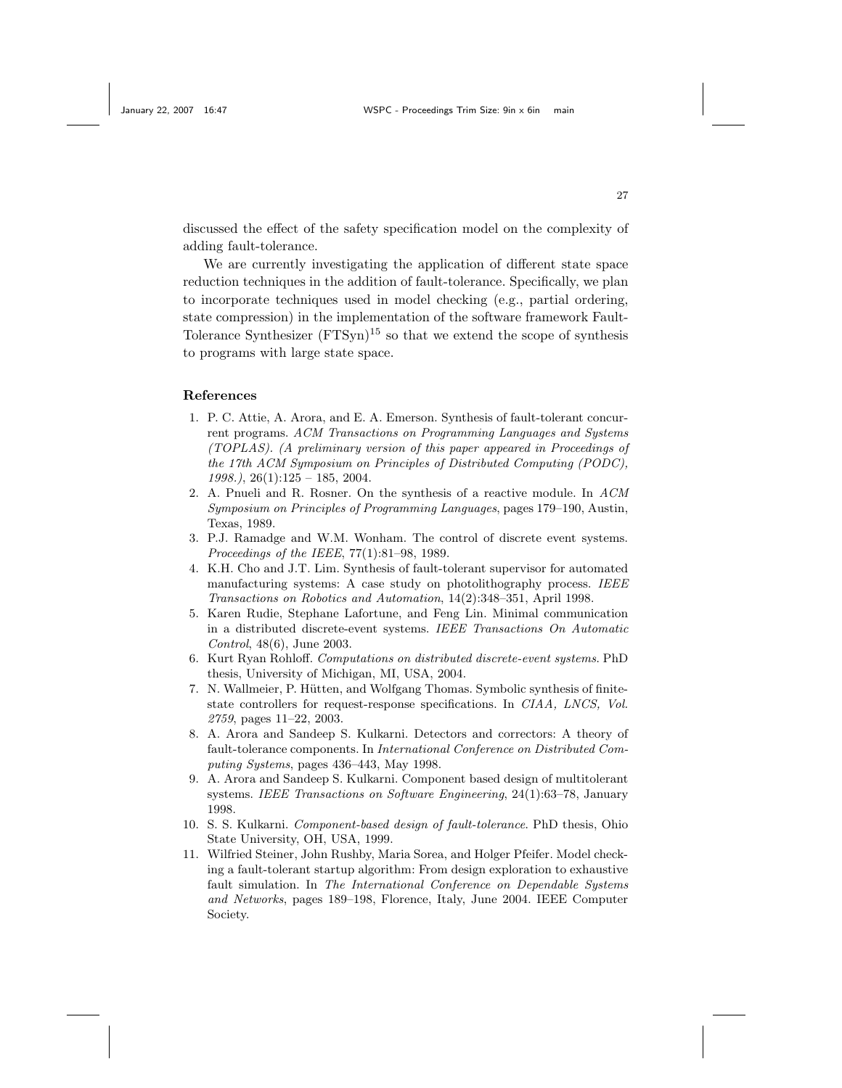discussed the effect of the safety specification model on the complexity of adding fault-tolerance.

We are currently investigating the application of different state space reduction techniques in the addition of fault-tolerance. Specifically, we plan to incorporate techniques used in model checking (e.g., partial ordering, state compression) in the implementation of the software framework Fault-Tolerance Synthesizer  $(FTSyn)^{15}$  so that we extend the scope of synthesis to programs with large state space.

## **References**

- 1. P. C. Attie, A. Arora, and E. A. Emerson. Synthesis of fault-tolerant concurrent programs. *ACM Transactions on Programming Languages and Systems (TOPLAS). (A preliminary version of this paper appeared in Proceedings of the 17th ACM Symposium on Principles of Distributed Computing (PODC), 1998.)*, 26(1):125 – 185, 2004.
- 2. A. Pnueli and R. Rosner. On the synthesis of a reactive module. In *ACM Symposium on Principles of Programming Languages*, pages 179–190, Austin, Texas, 1989.
- 3. P.J. Ramadge and W.M. Wonham. The control of discrete event systems. *Proceedings of the IEEE*, 77(1):81–98, 1989.
- 4. K.H. Cho and J.T. Lim. Synthesis of fault-tolerant supervisor for automated manufacturing systems: A case study on photolithography process. *IEEE Transactions on Robotics and Automation*, 14(2):348–351, April 1998.
- 5. Karen Rudie, Stephane Lafortune, and Feng Lin. Minimal communication in a distributed discrete-event systems. *IEEE Transactions On Automatic Control*, 48(6), June 2003.
- 6. Kurt Ryan Rohloff. *Computations on distributed discrete-event systems*. PhD thesis, University of Michigan, MI, USA, 2004.
- 7. N. Wallmeier, P. Hütten, and Wolfgang Thomas. Symbolic synthesis of finitestate controllers for request-response specifications. In *CIAA, LNCS, Vol. 2759*, pages 11–22, 2003.
- 8. A. Arora and Sandeep S. Kulkarni. Detectors and correctors: A theory of fault-tolerance components. In *International Conference on Distributed Computing Systems*, pages 436–443, May 1998.
- 9. A. Arora and Sandeep S. Kulkarni. Component based design of multitolerant systems. *IEEE Transactions on Software Engineering*, 24(1):63–78, January 1998.
- 10. S. S. Kulkarni. *Component-based design of fault-tolerance*. PhD thesis, Ohio State University, OH, USA, 1999.
- 11. Wilfried Steiner, John Rushby, Maria Sorea, and Holger Pfeifer. Model checking a fault-tolerant startup algorithm: From design exploration to exhaustive fault simulation. In *The International Conference on Dependable Systems and Networks*, pages 189–198, Florence, Italy, June 2004. IEEE Computer Society.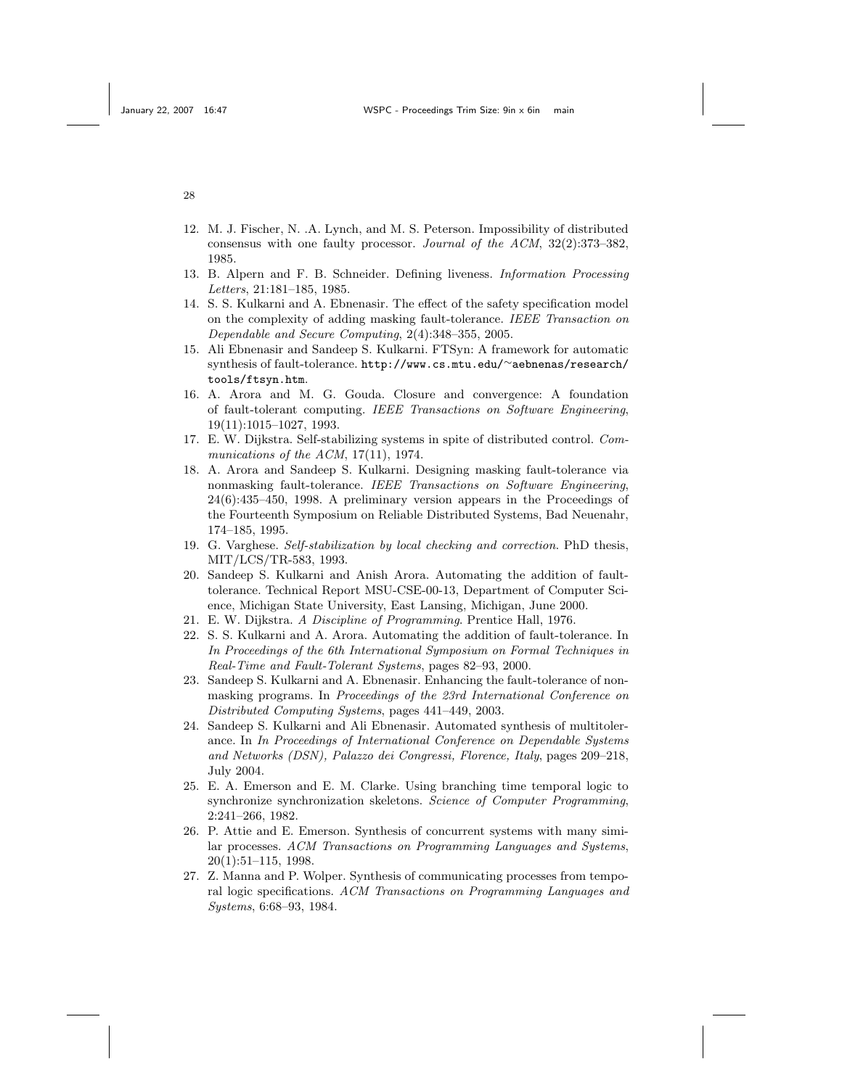- 12. M. J. Fischer, N. .A. Lynch, and M. S. Peterson. Impossibility of distributed consensus with one faulty processor. *Journal of the ACM*, 32(2):373–382, 1985.
- 13. B. Alpern and F. B. Schneider. Defining liveness. *Information Processing Letters*, 21:181–185, 1985.
- 14. S. S. Kulkarni and A. Ebnenasir. The effect of the safety specification model on the complexity of adding masking fault-tolerance. *IEEE Transaction on Dependable and Secure Computing*, 2(4):348–355, 2005.
- 15. Ali Ebnenasir and Sandeep S. Kulkarni. FTSyn: A framework for automatic synthesis of fault-tolerance. http://www.cs.mtu.edu/*∼*aebnenas/research/ tools/ftsyn.htm.
- 16. A. Arora and M. G. Gouda. Closure and convergence: A foundation of fault-tolerant computing. *IEEE Transactions on Software Engineering*, 19(11):1015–1027, 1993.
- 17. E. W. Dijkstra. Self-stabilizing systems in spite of distributed control. *Communications of the ACM*, 17(11), 1974.
- 18. A. Arora and Sandeep S. Kulkarni. Designing masking fault-tolerance via nonmasking fault-tolerance. *IEEE Transactions on Software Engineering*, 24(6):435–450, 1998. A preliminary version appears in the Proceedings of the Fourteenth Symposium on Reliable Distributed Systems, Bad Neuenahr, 174–185, 1995.
- 19. G. Varghese. *Self-stabilization by local checking and correction*. PhD thesis, MIT/LCS/TR-583, 1993.
- 20. Sandeep S. Kulkarni and Anish Arora. Automating the addition of faulttolerance. Technical Report MSU-CSE-00-13, Department of Computer Science, Michigan State University, East Lansing, Michigan, June 2000.
- 21. E. W. Dijkstra. *A Discipline of Programming*. Prentice Hall, 1976.
- 22. S. S. Kulkarni and A. Arora. Automating the addition of fault-tolerance. In *In Proceedings of the 6th International Symposium on Formal Techniques in Real-Time and Fault-Tolerant Systems*, pages 82–93, 2000.
- 23. Sandeep S. Kulkarni and A. Ebnenasir. Enhancing the fault-tolerance of nonmasking programs. In *Proceedings of the 23rd International Conference on Distributed Computing Systems*, pages 441–449, 2003.
- 24. Sandeep S. Kulkarni and Ali Ebnenasir. Automated synthesis of multitolerance. In *In Proceedings of International Conference on Dependable Systems and Networks (DSN), Palazzo dei Congressi, Florence, Italy*, pages 209–218, July 2004.
- 25. E. A. Emerson and E. M. Clarke. Using branching time temporal logic to synchronize synchronization skeletons. *Science of Computer Programming*, 2:241–266, 1982.
- 26. P. Attie and E. Emerson. Synthesis of concurrent systems with many similar processes. *ACM Transactions on Programming Languages and Systems*, 20(1):51–115, 1998.
- 27. Z. Manna and P. Wolper. Synthesis of communicating processes from temporal logic specifications. *ACM Transactions on Programming Languages and Systems*, 6:68–93, 1984.